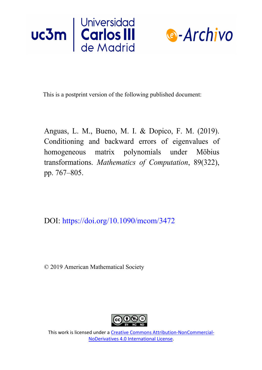



This is a postprint version of the following published document:

Anguas, L. M., Bueno, M. I. & Dopico, F. M. (2019). Conditioning and backward errors of eigenvalues of homogeneous matrix polynomials under Möbius transformations. *Mathematics of Computation*, 89(322), pp. 767–805.

DOI: <https://doi.org/10.1090/mcom/3472>

© 2019 American Mathematical Society



This work is licensed under a Creative [Commons Attribution-NonCommercial-](https://creativecommons.org/licenses/by-nc-nd/4.0/)NoDerivatives [4.0 International License.](https://creativecommons.org/licenses/by-nc-nd/4.0/)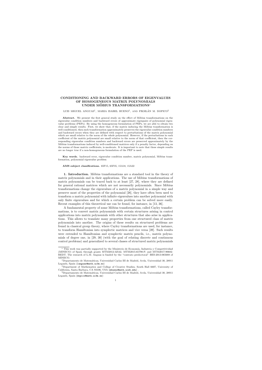## CONDITIONING AND BACKWARD ERRORS OF EIGENVALUES OF HOMOGENEOUS MATRIX POLYNOMIALS UNDER MÖBIUS TRANSFORMATIONS\*

## LUIS MIGUEL ANGUAS<sup>†</sup>, MARIA ISABEL BUENO<sup>‡</sup>, AND FROILÁN M. DOPICO<sup>§</sup>

Abstract. We present the first general study on the effect of Möbius transformations on the eigenvalue condition numbers and backward errors of approximate eigenpairs of polynomial eigenvalue problems (PEPs). By using the homogeneous formulation of PEPs, we are able to obtain two clear and simple results. First, we show that, if the matrix inducing the Möbius transformation is well conditioned, then such transformation approximately preserves the eigenvalue condition numbers and backward errors when they are defined with respect to perturbations of the matrix polynomial which are small relative to the norm of the whole polynomial. However, if the perturbations in each coefficient of the matrix polynomial are small relative to the norm of that coefficient, then the corresponding eigenvalue condition numbers and backward errors are preserved approximately by the Möbius transformations induced by well-conditioned matrices only if a penalty factor, depending on the norms of those matrix coefficients, is moderate. It is important to note that these simple results are no longer true if a non-homogeneous formulation of the PEP is used.

Key words. backward error, eigenvalue condition number, matrix polynomial, Möbius transformation, polynomial eigenvalue problem

## AMS subject classifications. 65F15, 65F35, 15A18, 15A22

1. Introduction. Möbius transformations are a standard tool in the theory of matrix polynomials and in their applications. The use of Möbius transformations of matrix polynomials can be traced back to at least [27, 28], where they are defined for general rational matrices which are not necessarily polynomials. Since Möbius transformations change the eigenvalues of a matrix polynomial in a simple way and preserve most of the properties of the polynomial [26], they have often been used to transform a matrix polynomial with infinite eigenvalues into another polynomial with only finite eigenvalues and for which a certain problem can be solved more easily. Recent examples of this theoretical use can be found, for instance, in [13, 36].

A fundamental property of some Möbius transformations, called Cayley transformations, is to convert matrix polynomials with certain structures arising in control applications into matrix polynomials with other structures that also arise in applications. This allows to translate many properties from one structured class of matrix polynomials into another. The origins of these results on structured problems are found in classical group theory, where Cayley transformations are used, for instance, to transform Hamiltonian into symplectic matrices and vice versa [39]. Such results were extended to Hamiltonian and symplectic matrix pencils, i.e., matrix polynomials of degree one, in [29, 30] (with the goal of relating discrete and continuous control problems) and generalized to several classes of structured matrix polynomials

<sup>∗</sup> This work was partially supported by the Ministerio de Econom´ıa, Industria y Competitividad (MINECO) of Spain through grants MTM2012-32542, MTM2015-65798-P, and MTM2017-90682- REDT. The research of L.M. Anguas is funded by the "contrato predoctoral" BES-2013-065688 of MINECO.

<sup>†</sup>Departamento de Matem´aticas, Universidad Carlos III de Madrid, Avda. Universidad 30, 28911 Leganés, Spain (languas@math.uc3m.es)

<sup>‡</sup>Department of Mathematics and College of Creative Studies, South Hall 6607, University of California, Santa Barbara, CA 93106, USA (mbueno@math.ucsb.edu) .

<sup>§</sup>Departamento de Matem´aticas, Universidad Carlos III de Madrid, Avda. Universidad 30, 28911 Leganés, Spain (dopico@math.uc3m.es)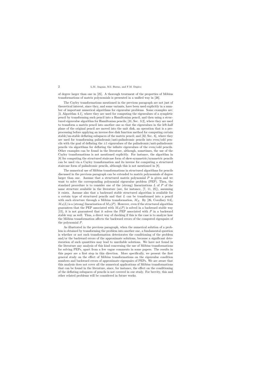of degree larger than one in  $[25]$ . A thorough treatment of the properties of Möbius transformations of matrix polynomials is presented in a unified way in [26].

The Cayley transformations mentioned in the previous paragraph are not just of theoretical interest, since they, and some variants, have been used explicitly in a number of important numerical algorithms for eigenvalue problems. Some examples are: [3, Algorithm 4.1], where they are used for computing the eigenvalues of a sympletic pencil by transforming such pencil into a Hamiltonian pencil, and then using a structured eigenvalue algorithm for Hamiltonian pencils; [31, Sec. 3.2], where they are used to transform a matrix pencil into another one so that the eigenvalues in the left-half plane of the original pencil are moved into the unit disk, an operation that is a preprocessing before applying an inverse-free disk function method for computing certain stable/un-stable deflating subspaces of the matrix pencil; and [32, Sec. 6], where they are used for transforming palindromic/anti-palindromic pencils into even/odd pencils with the goal of deflating the  $\pm 1$  eigenvalues of the palindromic/anti-palindromic pencils via algorithms for deflating the infinite eigenvalues of the even/odd pencils. Other examples can be found in the literature, although, sometimes, the use of the Cayley transformations is not mentioned explicitly. For instance, the algorithm in [8] for computing the structured staircase form of skew-symmetric/symmetric pencils can be used via a Cayley transformation and its inverse for computing a structured staircase form of palindromic pencils, although this is not mentioned in [8].

The numerical use of Möbius transformations in structured algorithms for pencils discussed in the previous paragraph can be extended to matrix polynomials of degree larger than one. Assume that a structured matrix polynomial  $P$  is given and we want to solve the corresponding polynomial eigenvalue problem (PEP). Then, the standard procedure is to consider one of the (strong) linearizations  $L$  of  $P$  of the same structure available in the literature (see, for instance, [7, 11, 25]), assuming it exists. Assume also that a backward stable structured algorithm is available for a certain type of structured pencils and that L can be transformed into a pencil with such structure through a Möbius transformation,  $M_A$ . By [26, Corollary 8.6],  $M_A(L)$  is a (strong) linearization of  $M_A(P)$ . However, even if the structured algorithm guarantees that the PEP associated with  $M_A(P)$  is solved in a backward stable way [15], it is not guaranteed that it solves the PEP associated with  $P$  in a backward stable way as well. Thus, a direct way of checking if this is the case is to analyze how the Möbius transformation affects the backward errors of the computed eigenpairs of the polynomial P.

As illustrated in the previous paragraph, when the numerical solution of a problem is obtained by transforming the problem into another one, a fundamental question is whether or not such transformation deteriorates the conditioning of the problem and/or the backward errors of the approximate solutions, because a significant deterioration of such quantities may lead to unreliable solutions. We have not found in the literature any analysis of this kind concerning the use of Möbius transformations for solving PEPs, apart from a few vague comments in some papers. The results in this paper are a first step in this direction. More specifically, we present the first general study on the effect of Möbius transformations on the eigenvalue condition numbers and backward errors of approximate eigenpairs of PEPs. We are aware that this analysis does not cover all the numerical applications of Möbius transformations that can be found in the literature, since, for instance, the effect on the conditioning of the deflating subspaces of pencils is not covered in our study. For brevity, this and other related problems will be considered in future works.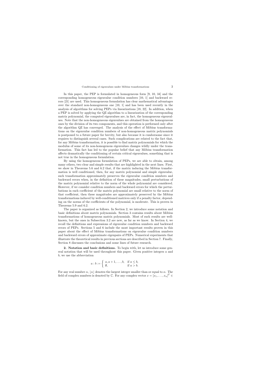In this paper, the PEP is formulated in homogeneous form [9, 10, 34] and the corresponding homogeneous eigenvalue condition numbers [10, 1] and backward errors [21] are used. This homogeneous formulation has clear mathematical advantages over the standard non-homogeneous one [10, 1] and has been used recently in the analysis of algorithms for solving PEPs via linearizations [18, 22]. In addition, when a PEP is solved by applying the QZ algorithm to a linearization of the corresponding matrix polynomial, the computed eigenvalues are, in fact, the homogeneous eigenvalues. Note that the non-homogeneous eigenvalues are obtained from the homogeneous ones by the division of its two components, and this operation is performed only after the algorithm QZ has converged. The analysis of the effect of Möbius transformations on the eigenvalue condition numbers of non-homogeneous matrix polynomials is postponed to a future paper for brevity, but also because it is cumbersome since it requires to distinguish several cases. Such complications are related to the fact that, for any Möbius transformation, it is possible to find matrix polynomials for which the modulus of some of its non-homogenous eigenvalues changes wildly under the transformation. This fact has led to the popular belief that any Möbius transformation affects dramatically the conditioning of certain critical eigenvalues, something that is not true in the homogeneous formulation.

By using the homogeneous formulation of PEPs, we are able to obtain, among many others, two clear and simple results that are highlighted in the next lines. First, we show in Theorems  $5.6$  and  $6.2$  that, if the matrix inducing the Möbius transformation is well conditioned, then, for any matrix polynomial and simple eigenvalue, such transformation approximately preserves the eigenvalue condition numbers and backward errors when, in the definition of these magnitudes, small perturbations of the matrix polynomial relative to the norm of the whole polynomial are considered. However, if we consider condition numbers and backward errors for which the perturbations in each coefficient of the matrix polynomial are small relative to the norm of that coefficient, then these magnitudes are approximately preserved by the Möbius transformations induced by well-conditioned matrices only if a penalty factor, depending on the norms of the coefficients of the polynomial, is moderate. This is proven in Theorems 5.9 and 6.2.

The paper is organized as follows. In Section 2, we introduce some notation and basic definitions about matrix polynomials. Section 3 contains results about Möbius transformations of homogeneous matrix polynomials. Most of such results are wellknown, but the ones in Subsection 3.2 are new, as far as we know. In Section 4, we recall the definitions and expressions of eigenvalue condition numbers and backward errors of PEPs. Sections 5 and 6 include the most important results proven in this paper about the effect of Möbius transformations on eigenvalue condition numbers and backward errors of approximate eigenpairs of PEPs. Numerical experiments that illustrate the theoretical results in previous sections are described in Section 7. Finally, Section 8 discusses the conclusions and some lines of future research.

2. Notation and basic definitions. To begin with, let us introduce some general notation that will be used throughout this paper. Given positive integers a and b, we use the abbreviation

$$
a:b := \left\{ \begin{array}{ll} a, a+1, \dots, b, & \text{if } a \leq b, \\ \emptyset, & \text{if } a > b. \end{array} \right.
$$

For any real number  $\alpha$ ,  $|\alpha|$  denotes the largest integer smaller than or equal to  $\alpha$ . The field of complex numbers is denoted by  $\mathbb C$ . For any complex vector  $x = [x_1, \ldots, x_n]^T \in$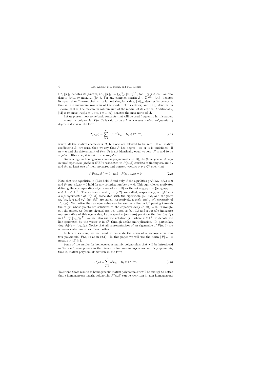$\mathbb{C}^n$ ,  $||x||_p$  denotes its p-norm, i.e.,  $||x||_p := (\sum_{i=1}^n |x_i|^p)^{1/p}$ , for  $1 \le p < \infty$ . We also denote  $||x||_{\infty} := \max_{i=1:n} \{|x_i|\}.$  For any complex matrix  $A \in \mathbb{C}^{m \times n}$ ,  $||A||_2$  denotes its spectral or 2-norm, that is, its largest singular value;  $||A||_{\infty}$  denotes its  $\infty$ -norm, that is, the maximum row sum of the moduli of its entries; and  $||A||_1$  denotes its 1-norm, that is, the maximum column sum of the moduli of its entries. Additionally,  $||A||_M := \max\{|A_{ij}|, i = 1 : m, j = 1 : n\}$  denotes the max norm of A.

Let us present now some basic concepts that will be used frequently in this paper.

A matrix polynomial  $P(\alpha, \beta)$  is said to be a *homogeneous matrix polynomial of* degree  $k$  if it is of the form

$$
P(\alpha, \beta) = \sum_{i=0}^{k} \alpha^{i} \beta^{k-i} B_i, \quad B_i \in \mathbb{C}^{m \times n}, \tag{2.1}
$$

where all the matrix coefficients  $B_i$  but one are allowed to be zero. If all matrix coefficients  $B_i$  are zero, then we say that P has degree  $-\infty$  or it is undefined. If  $m = n$  and the determinant of  $P(\alpha, \beta)$  is not identically equal to zero, P is said to be regular. Otherwise, it is said to be singular.

Given a regular homogeneous matrix polynomial  $P(\alpha, \beta)$ , the *(homogeneous) poly*nomial eigenvalue problem (PEP) associated to  $P(\alpha, \beta)$  consists of finding scalars  $\alpha_0$ and  $\beta_0$ , at least one of them nonzero, and nonzero vectors  $x, y \in \mathbb{C}^n$  such that

$$
y^* P(\alpha_0, \beta_0) = 0
$$
 and  $P(\alpha_0, \beta_0) x = 0.$  (2.2)

Note that the equalities in (2.2) hold if and only if the equalities  $y^*P(a\alpha_0, a\beta_0) = 0$ and  $P(a\alpha_0, a\beta_0)x = 0$  hold for any complex number  $a \neq 0$ . This equivalence motivates defining the corresponding *eigenvalue* of  $P(\alpha, \beta)$  as the set  $(\alpha_0, \beta_0) := \{ [a\alpha_0, a\beta_0]^T :$  $a \in \mathbb{C}$   $\subset \mathbb{C}^2$ . The vectors x and y in (2.2) are called, respectively, a right and a left eigenvector of  $P(\alpha, \beta)$  associated with the eigenvalue  $(\alpha_0, \beta_0)$ , and the pairs  $(x, (\alpha_0, \beta_0))$  and  $(y^*, (\alpha_0, \beta_0))$  are called, respectively, a *right and a left eigenpair* of  $P(\alpha, \beta)$ . We notice that an eigenvalue can be seen as a line in  $\mathbb{C}^2$  passing through the origin whose points are solutions to the equation  $\det(P(\alpha, \beta)) = 0$ . Throughout the paper, we denote eigenvalues, i.e., lines, as  $(\alpha_0, \beta_0)$  and a specific (nonzero) representative of this eigenvalue, i.e., a specific (nonzero) point on the line  $(\alpha_0, \beta_0)$ in  $\mathbb{C}^2$ , by  $[\alpha_0, \beta_0]^T$ . We will also use the notation  $\langle x \rangle$ , where  $x \in \mathbb{C}^2$ , to denote the line generated by the vector x in  $\mathbb{C}^2$  through scalar multiplication. In particular,  $\langle [\alpha_0, \beta_0]^T \rangle = (\alpha_0, \beta_0)$ . Notice that all representatives of an eigenvalue of  $P(\alpha, \beta)$  are nonzero scalar multiples of each other.

In future sections, we will need to calculate the norm of a homogeneous matrix polynomial  $P(\alpha, \beta)$  as in (2.1). In this paper we will use the norm  $||P||_{\infty} :=$  $\max_{i=0:k}\{\|B_i\|_2\}.$ 

Some of the results for homogeneous matrix polynomials that will be introduced in Section 3 were proven in the literature for non-homogeneous matrix polynomials, that is, matrix polynomials written in the form

$$
P(\lambda) = \sum_{i=0}^{k} \lambda^i B_i, \quad B_i \in \mathbb{C}^{m \times n}.
$$
 (2.3)

To extend those results to homogeneous matrix polynomials it will be enough to notice that a homogeneous matrix polynomial  $P(\alpha, \beta)$  can be rewritten in non-homogeneous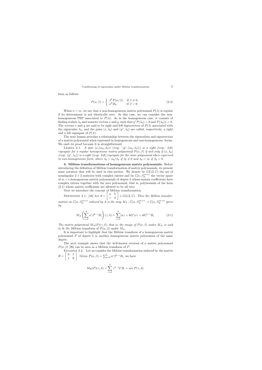form as follows

$$
P(\alpha, \beta) = \begin{cases} \beta^k P(\alpha/\beta), & \text{if } \beta \neq 0, \\ \alpha^k B_k, & \text{if } \beta = 0. \end{cases}
$$
 (2.4)

When  $n = m$ , we say that a non-homogeneous matrix polynomial  $P(\lambda)$  is regular if its determinant is not identically zero. In this case, we can consider the nonhomogeneous PEP associated to  $P(\lambda)$ . As in the homogeneous case, it consists of finding scalars  $\lambda_0$  and nonzero vectors x and y such that  $y^*P(\lambda_0) = 0$  and  $P(\lambda_0)x = 0$ . The vectors x and y are said to be right and left eigenvectors of  $P(\lambda)$  associated with the eigenvalue  $\lambda_0$ , and the pairs  $(x, \lambda_0)$  and  $(y^*, \lambda_0)$  are called, respectively, a right and a left eigenpair of  $P(\lambda)$ .

The next lemma provides a relationship between the eigenvalues and eigenvectors of a matrix polynomial when expressed in homogeneous and non-homogeneous forms. We omit its proof because it is straightforward.

LEMMA 2.1. A pair  $(x, (\alpha_0, \beta_0))$  (resp.  $(y^*, (\alpha_0, \beta_0)))$  is a right (resp. left) eigenpair for a regular homogeneous matrix polynomial  $P(\alpha, \beta)$  if and only if  $(x, \lambda_0)$ (resp.  $(y^*, \lambda_0)$ ) is a right (resp. left) eigenpair for the same polynomial when expressed in non-homogeneous form, where  $\lambda_0 = \alpha_0/\beta_0$  if  $\beta_0 \neq 0$  and  $\lambda_0 = \infty$  if  $\beta_0 = 0$ .

3. Möbius transformations of homogeneous matrix polynomials. Before introducing the definition of Möbius transformation of matrix polynomials, we present some notation that will be used in this section. We denote by  $GL(2,\mathbb{C})$  the set of nonsingular  $2 \times 2$  matrices with complex entries and by  $\mathbb{C}[\alpha,\beta]_k^{m \times n}$  the vector space of  $m \times n$  homogeneous matrix polynomials of degree k whose matrix coefficients have complex entries together with the zero polynomial, that is, polynomials of the form (2.1) whose matrix coefficients are allowed to be all zero.

Next we introduce the concept of Möbius transformation.

DEFINITION 3.1. [26] Let  $A = \begin{bmatrix} a & b \\ c & d \end{bmatrix} \in GL(2, \mathbb{C})$ . Then the Möbius transformation on  $\mathbb{C}[\alpha,\beta]_k^{m\times n}$  induced by A is the map  $M_A:\mathbb{C}[\alpha,\beta]_k^{m\times n}\to \mathbb{C}[\alpha,\beta]_k^{m\times n}$  given by

$$
M_A\left(\sum_{i=0}^k \alpha^i \beta^{k-i} B_i\right)(\gamma, \delta) = \sum_{i=0}^k (\alpha \gamma + b\delta)^i (c\gamma + d\delta)^{k-i} B_i.
$$
 (3.1)

The matrix polynomial  $M_A(P)(\gamma, \delta)$ , that is, the image of  $P(\alpha, \beta)$  under  $M_A$ , is said to be the Möbius transform of  $P(\alpha, \beta)$  under  $M_A$ .

It is important to highlight that the Möbius transform of a homogeneous matrix polynomial  $P$  of degree  $k$  is another homogeneous matrix polynomial of the same degree.

The next example shows that the well-known reversal of a matrix polynomial  $P(\alpha, \beta)$  [26] can be seen as a Möbius transform of P.

EXAMPLE 3.2. Let us consider the Möbius transformation induced by the matrix  $R = \begin{bmatrix} 0 & 1 \\ 1 & 0 \end{bmatrix}$ . Given  $P(\alpha, \beta) = \sum_{i=0}^{k} \alpha^{i} \beta^{k-i} B_{i}$ , we have  $M_{R}(P)(\gamma,\delta)=\sum^{k}% \sum_{k=0}^{K}\left( \gamma_{k}\right) ^{k}\left( \gamma_{k}\right) ^{k}.$  $\gamma^{k-i} \delta^i B_i = \text{rev } P(\gamma, \delta).$ 

 $i=0$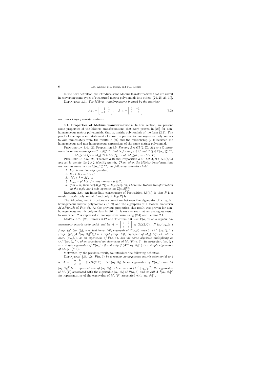In the next definition, we introduce some Möbius transformations that are useful in converting some types of structured matrix polynomials into others [24, 25, 26, 30]. DEFINITION 3.3. The Möbius transformations induced by the matrices

$$
A_{+1} = \begin{bmatrix} 1 & 1 \\ -1 & 1 \end{bmatrix}, \quad A_{-1} = \begin{bmatrix} 1 & -1 \\ 1 & 1 \end{bmatrix}
$$
 (3.2)

are called Cayley transformations.

3.1. Properties of Möbius transformations. In this section, we present some properties of the Möbius transformations that were proven in  $[26]$  for nonhomogeneous matrix polynomials, that is, matrix polynomials of the form (2.3). The proof of the equivalent statement of those properties for homogeneous polynomials follows immediately from the results in [26] and the relationship (2.4) between the homogeneous and non-homogeneous expressions of the same matrix polynomial.

PROPOSITION 3.4. [26, Proposition 3.5] For any  $A \in GL(2,\mathbb{C})$ ,  $M_A$  is a  $\mathbb{C}\text{-}linear$ operator on the vector space  $\mathbb{C}[\alpha,\beta]_k^{m\times n}$ , that is, for any  $\mu \in \mathbb{C}$  and  $P,Q \in \mathbb{C}[\alpha,\beta]_k^{m\times n}$ ,  $M_A(P+Q) = M_A(P) + M_A(Q)$  and  $M_A(\mu P) = \mu M_A(P)$ .

PROPOSITION 3.5. [26, Theorem 3.18 and Proposition 3.27] Let  $A, B \in GL(2, \mathbb{C})$ and let  $I_2$  denote the  $2 \times 2$  identity matrix. Then, when the Möbius transformations are seen as operators on  $\mathbb{C}[\alpha,\beta]_k^{m\times n}$ , the following properties hold:

- 1.  $M_{I_2}$  is the identity operator;
- 2.  $M_A \circ M_B = M_{BA}$ ;
- 3.  $(M_A)^{-1} = M_{A^{-1}};$
- 4.  $M_{\mu} = \mu^k M_A$ , for any nonzero  $\mu \in \mathbb{C}$ ;
- 5. If  $m = n$ , then  $\det(M_A(P)) = M_A(\det(P))$ , where the Möbius transformation on the right-hand side operates on  $\mathbb{C}[\alpha,\beta]_{nk}^{1\times 1}$ .

REMARK 3.6. An immediate consequence of Proposition 3.5(5.) is that  $P$  is a regular matrix polynomial if and only if  $M_A(P)$  is.

The following result provides a connection between the eigenpairs of a regular homogeneous matrix polynomial  $P(\alpha, \beta)$  and the eigenpairs of a Möbius transform  $M_A(P)(\gamma,\delta)$  of  $P(\alpha,\beta)$ . As the previous properties, this result was proven for nonhomogeneous matrix polynomials in [26]. It is easy to see that an analogous result follows when  $P$  is expressed in homogeneous form using  $(2.4)$  and Lemma 2.1.

LEMMA 3.7. [26, Remark 6.12 and Theorem 5.3] Let  $P(\alpha, \beta)$  be a regular homogeneous matrix polynomial and let  $A = \begin{bmatrix} a & b \\ c & d \end{bmatrix} \in GL(2, \mathbb{C})$ . If  $(x, (\alpha_0, \beta_0))$ (resp.  $(y^*, (\alpha_0, \beta_0))$  is a right (resp. left) eigenpair of  $P(\alpha, \beta)$ , then  $(x, \langle A^{-1}[\alpha_0, \beta_0]^T \rangle)$ (resp.  $(y^*, \langle A^{-1}[\alpha_0, \beta_0]^T \rangle)$ ) is a right (resp. left) eigenpair of  $M_A(P)(\gamma, \delta)$ . Moreover,  $(\alpha_0, \beta_0)$ , as an eigenvalue of  $P(\alpha, \beta)$ , has the same algebraic multiplicity as  $\langle A^{-1}[\alpha_0,\beta_0]^T\rangle$ , when considered an eigenvalue of  $M_A(P)(\gamma,\delta)$ . In particular,  $(\alpha_0,\beta_0)$ is a simple eigenvalue of  $P(\alpha, \beta)$  if and only if  $\langle A^{-1}[\alpha_0, \beta_0]^T \rangle$  is a simple eigenvalue of  $M_A(P)(\gamma,\delta)$ .

Motivated by the previous result, we introduce the following definition.

DEFINITION 3.8. Let  $P(\alpha, \beta)$  be a regular homogeneous matrix polynomial and let  $A = \begin{bmatrix} a & b \\ c & d \end{bmatrix} \in GL(2, \mathbb{C})$ . Let  $(\alpha_0, \beta_0)$  be an eigenvalue of  $P(\alpha, \beta)$  and let  $[\alpha_0, \beta_0]^T$  be a representative of  $(\alpha_0, \beta_0)$ . Then, we call  $\langle A^{-1}[\alpha_0, \beta_0]^T \rangle$  the eigenvalue of  $M_A(P)$  associated with the eigenvalue  $(\alpha_0, \beta_0)$  of  $P(\alpha, \beta)$  and we call  $A^{-1}[\alpha_0, \beta_0]^T$ the representative of the eigenvalue of  $M_A(P)$  associated with  $[\alpha_0, \beta_0]^T$ .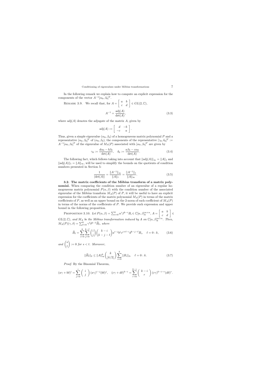In the following remark we explain how to compute an explicit expression for the components of the vector  $A^{-1}[\alpha_0, \beta_0]^T$ .

REMARK 3.9. We recall that, for 
$$
A = \begin{bmatrix} a & b \ c & d \end{bmatrix} \in GL(2, \mathbb{C}),
$$
  

$$
A^{-1} = \frac{\text{adj}(A)}{\text{det}(A)},
$$
(3.3)

where  $\text{adj}(A)$  denotes the adjugate of the matrix A, given by

$$
\mathrm{adj}(A) := \left[ \begin{array}{cc} d & -b \\ -c & a \end{array} \right].
$$

Thus, given a simple eigenvalue  $(\alpha_0, \beta_0)$  of a homogeneous matrix polynomial P and a representative  $[\alpha_0, \beta_0]^T$  of  $(\alpha_0, \beta_0)$ , the components of the representative  $[\gamma_0, \delta_0]^T :=$  $A^{-1}[\alpha_0, \beta_0]^T$  of the eigenvalue of  $M_A(P)$  associated with  $[\alpha_0, \beta_0]^T$  are given by

$$
\gamma_0 := \frac{d\alpha_0 - b\beta_0}{\det(A)}, \quad \delta_0 := \frac{a\beta_0 - c\alpha_0}{\det(A)}.
$$
\n(3.4)

The following fact, which follows taking into account that  $\|\text{adj}(A)\|_{\infty} = \|A\|_1$  and  $\|\text{adj}(A)\|_1 = \|A\|_{\infty}$ , will be used to simplify the bounds on the quotients of condition numbers presented in Section 5:

$$
\frac{1}{|\det(A)|} = \frac{\|A^{-1}\|_{\infty}}{\|A\|_1} = \frac{\|A^{-1}\|_1}{\|A\|_{\infty}}.
$$
\n(3.5)

3.2. The matrix coefficients of the Möbius transform of a matrix polynomial. When comparing the condition number of an eigenvalue of a regular homogeneous matrix polynomial  $P(\alpha, \beta)$  with the condition number of the associated eigenvalue of the Möbius transform  $M_A(P)$  of P, it will be useful to have an explicit expression for the coefficients of the matrix polynomial  $M_A(P)$  in terms of the matrix coefficients of P, as well as an upper bound on the 2-norm of each coefficient of  $M_A(P)$ in terms of the norms of the coefficients of  $P$ . We provide such expression and upper bound in the following proposition.

PROPOSITION 3.10. Let 
$$
P(\alpha, \beta) = \sum_{i=0}^{k} \alpha^{i} \beta^{k-i} B_i \in \mathbb{C}[\alpha, \beta]_k^{m \times n}, A = \begin{bmatrix} a & b \\ c & d \end{bmatrix} \in GL(2, \mathbb{C}),
$$
 and  $M_A$  be the Möbius transformation induced by  $A$  on  $\mathbb{C}[\alpha, \beta]_k^{m \times n}$ . Then,  $M_A(P)(\gamma, \delta) = \sum_{\ell=0}^{k} \gamma^{\ell} \delta^{k-\ell} \widetilde{B}_{\ell}$ , where

$$
\widetilde{B}_{\ell} = \sum_{i=0}^{k} \sum_{j=0}^{k-\ell} \binom{i}{j} \binom{k-i}{k-j-\ell} a^{i-j} b^j c^{j+\ell-i} d^{k-j-\ell} B_i, \quad \ell = 0:k,
$$
\n(3.6)

and  $\binom{s}{t}$ t  $\Big) := 0$  for  $s < t$ . Moreover,

$$
\|\widetilde{B}_{\ell}\|_{2} \le \|A\|_{\infty}^{k} \binom{k}{\lfloor k/2 \rfloor} \sum_{i=0}^{k} \|B_{i}\|_{2}, \quad \ell = 0 : k. \tag{3.7}
$$

Proof. By the Binomial Theorem,

$$
(a\gamma+b\delta)^i=\sum_{j=0}^i\binom{i}{j}(a\gamma)^{i-j}(b\delta)^j,\quad (c\gamma+d\delta)^{k-i}=\sum_{r=0}^{k-i}\binom{k-i}{r}(c\gamma)^{k-i-r}(d\delta)^r.
$$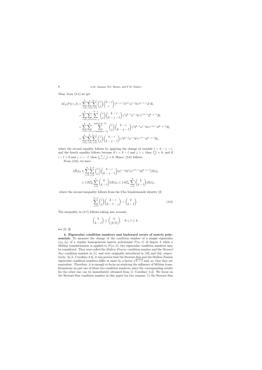Thus, from (3.1) we get

$$
M_{A}(P)(\gamma,\delta) = \sum_{i=0}^{k} \sum_{j=0}^{i} \sum_{r=0}^{k-i} {i \choose j} {k-i \choose r} \gamma^{k-j-r} \delta^{j+r} a^{i-j} b^{j} c^{k-i-r} d^{r} B_{i}
$$
  
\n
$$
= \sum_{i=0}^{k} \sum_{j=0}^{i} \sum_{\ell=i-j}^{k-j} {i \choose j} {k-i \choose k-j-\ell} \gamma^{\ell} \delta^{k-\ell} a^{i-j} b^{j} c^{j+\ell-i} d^{k-j-\ell} B_{i}
$$
  
\n
$$
= \sum_{\ell=0}^{k} \sum_{i=0}^{k} \sum_{j=\max\{0, i-\ell\}}^{i} {i \choose j} {k-i \choose k-j-\ell} \gamma^{\ell} \delta^{k-\ell} a^{i-j} b^{j} c^{j+\ell-i} d^{k-j-\ell} B_{i}
$$
  
\n
$$
= \sum_{\ell=0}^{k} \sum_{i=0}^{k} \sum_{j=0}^{k-\ell} {i \choose j} {k-i \choose k-j-\ell} \gamma^{\ell} \delta^{k-\ell} a^{i-j} b^{j} c^{j+\ell-i} d^{k-j-\ell} B_{i},
$$

where the second equality follows by applying the change of variable  $\ell = k - j - r$ , and the fourth equality follows because if  $i < k - \ell$  and  $j > i$ , then  $\binom{i}{j} = 0$ , and if

 $i - \ell > 0$  and  $j < i - \ell$ , then  $\binom{k-i}{k-\ell-j} = 0$ . Hence, (3.6) follows. From (3.6), we have

$$
\|\widetilde{B}_{\ell}\|_{2} \leq \sum_{i=0}^{k} \sum_{j=0}^{k-\ell} {i \choose j} {k-i \choose k-j-\ell} |a|^{i-j} |b|^{j} |c|^{j+\ell-i} |d|^{k-j-\ell} \|B_{i}\|_{2}
$$
  

$$
\leq \|A\|_{M}^{k} \sum_{i=0}^{k} {k \choose k-l} \|B_{i}\|_{2} \leq \|A\|_{\infty}^{k} \sum_{i=0}^{k} {k \choose k-l} \|B_{i}\|_{2},
$$

where the second inequality follows from the Chu-Vandermonde identity [2]

$$
\sum_{j=0}^{k-\ell} \binom{i}{j} \binom{k-i}{k-\ell-j} = \binom{k}{k-\ell}.
$$
\n(3.8)

The inequality in (3.7) follows taking into account

$$
\binom{k}{k-\ell} \leq \binom{k}{\lfloor k/2 \rfloor}, \quad 0 \leq \ell \leq k,
$$

see [5].  $\square$ 

4. Eigenvalue condition numbers and backward errors of matrix polynomials. To measure the change of the condition number of a simple eigenvalue  $(\alpha_0, \beta_0)$  of a regular homogeneous matrix polynomial  $P(\alpha, \beta)$  of degree k when a Möbius transformation is applied to  $P(\alpha, \beta)$ , two eigenvalue condition numbers may be considered. They were called the Dedieu-Tisseur condition number and the Stewart-Sun condition number in [1], and were originally introduced in [10] and [34], respectively. In [1, Corollary 3.3], it was proven that the Stewart-Sun and the Dedieu-Tisseur tively. In [1, Corollary 3.3], it was proven that the stewart-sum and the Dedieu-Tisseur<br>eigenvalue condition numbers differ at most by a factor  $\sqrt{k+1}$  and, so, that they are equivalent. Therefore, it is enough to focus on studying the influence of Möbius transformations on just one of these two condition numbers, since the corresponding results for the other one can be immediately obtained from [1, Corollary 3.3]. We focus on the Stewart-Sun condition number in this paper for two reasons: 1) the Stewart-Sun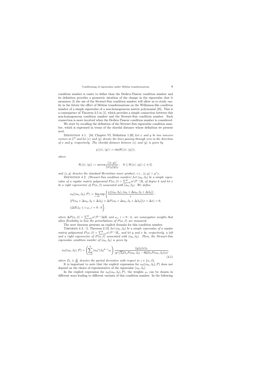condition number is easier to define than the Dedieu-Tisseur condition number and its definition provides a geometric intuition of the change in the eigenvalue that it measures; 2) the use of the Stewart-Sun condition number will allow us to study easily in the future the effect of Möbius transformations on the Wilkinson-like condition number of a simple eigenvalue of a non-homogeneous matrix polynomial [35]. This is a consequence of Theorem 3.5 in [1], which provides a simple connection between this non-homogeneous condition number and the Stewart-Sun condition number. Such connection is more involved when the Dedieu-Tisseur condition number is considered.

We start by recalling the definition of the Stewart-Sun eigenvalue condition number, which is expressed in terms of the chordal distance whose definition we present next.

DEFINITION 4.1. [34, Chapter VI, Definition 1.20] Let x and y be two nonzero vectors in  $\mathbb{C}^2$  and let  $\langle x \rangle$  and  $\langle y \rangle$  denote the lines passing through zero in the direction of x and y, respectively. The chordal distance between  $\langle x \rangle$  and  $\langle y \rangle$  is given by

$$
\chi(\langle x \rangle, \langle y \rangle) := \sin(\theta(\langle x \rangle, \langle y \rangle)),
$$

where

$$
\theta(\langle x \rangle, \langle y \rangle) := \arccos \frac{|\langle x, y \rangle|}{\|x\|_2 \|y\|_2}, \quad 0 \le \theta(\langle x \rangle, \langle y \rangle) \le \pi/2,
$$

and  $\langle x, y \rangle$  denotes the standard Hermitian inner product, i.e.,  $\langle x, y \rangle = y^*x$ .

DEFINITION 4.2. (Stewart-Sun condition number) Let  $(\alpha_0, \beta_0)$  be a simple eigenvalue of a regular matrix polynomial  $P(\alpha, \beta) = \sum_{i=0}^{k} \alpha^{i} \beta^{k-i} B_i$  of degree k and let x be a right eigenvector of  $P(\alpha, \beta)$  associated with  $(\alpha_0, \beta_0)$ . We define

$$
\kappa_{\theta}((\alpha_0, \beta_0), P) := \lim_{\epsilon \to 0} \sup \left\{ \frac{\chi((\alpha_0, \beta_0), (\alpha_0 + \Delta \alpha_0, \beta_0 + \Delta \beta_0))}{\epsilon} : [P(\alpha_0 + \Delta \alpha_0, \beta_0 + \Delta \beta_0) + \Delta P(\alpha_0 + \Delta \alpha_0, \beta_0 + \Delta \beta_0)](x + \Delta x) = 0, \|\Delta B_i\|_2 \le \epsilon \omega_i, i = 0 : k \right\},
$$

where  $\Delta P(\alpha, \beta) = \sum_{i=0}^{k} \alpha^{i} \beta^{k-i} \Delta B_{i}$  and  $\omega_{i}$ ,  $i = 0 : k$ , are nonnegative weights that allow flexibility in how the perturbations of  $P(\alpha, \beta)$  are measured.

The next theorem presents an explicit formula for this condition number.

THEOREM 4.3. [1, Theorem 2.13] Let  $(\alpha_0, \beta_0)$  be a simple eigenvalue of a regular matrix polynomial  $P(\alpha, \beta) = \sum_{i=0}^{k} \alpha^{i} \beta^{k-i} B_i$ , and let y and x be, respectively, a left and a right eigenvector of  $P(\alpha, \beta)$  associated with  $(\alpha_0, \beta_0)$ . Then, the Stewart-Sun eigenvalue condition number of  $(\alpha_0, \beta_0)$  is given by

$$
\kappa_{\theta}((\alpha_0, \beta_0), P) = \left(\sum_{i=0}^{k} |\alpha_0|^i |\beta_0|^{k-i} \omega_i\right) \frac{\|y\|_2 \|x\|_2}{|y^*(\overline{\beta_0}D_\alpha P(\alpha_0, \beta_0) - \overline{\alpha_0}D_\beta P(\alpha_0, \beta_0))x|},\tag{4.1}
$$

where  $D_z \equiv \frac{\partial}{\partial z}$  denotes the partial derivative with respect to  $z \in {\alpha, \beta}$ .

It is important to note that the explicit expression for  $\kappa_{\theta}((\alpha_0, \beta_0), P)$  does not depend on the choice of representative of the eigenvalue  $(\alpha_0, \beta_0)$ .

In the explicit expression for  $\kappa_{\theta}((\alpha_0, \beta_0), P)$ , the weights  $\omega_i$  can be chosen in different ways leading to different variants of this condition number. In the following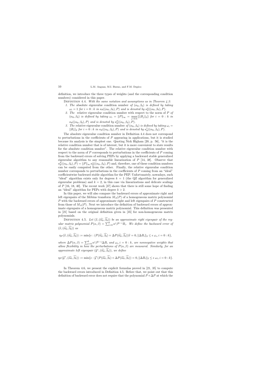definition, we introduce the three types of weights (and the corresponding condition numbers) considered in this paper.

- DEFINITION 4.4. With the same notation and assumptions as in Theorem  $4.3$ :
- 1. The absolute eigenvalue condition number of  $(\alpha_0, \beta_0)$  is defined by taking  $\omega_i = 1$  for  $i = 0 : k$  in  $\kappa_{\theta}((\alpha_0, \beta_0), P)$  and is denoted by  $\kappa_{\theta}^a((\alpha_0, \beta_0), P)$ .
- 2. The relative eigenvalue condition number with respect to the norm of  $P$  of  $(\alpha_0, \beta_0)$  is defined by taking  $\omega_i = ||P||_{\infty} = \max_{j=0:k} \{||B_j||_2\}$  for  $i = 0 : k$  in

 $\kappa_{\theta}((\alpha_0, \beta_0), P)$  and is denoted by  $\kappa_{\theta}^p((\alpha_0, \beta_0), P)$ .

3. The relative eigenvalue condition number of  $(\alpha_0, \beta_0)$  is defined by taking  $\omega_i =$  $||B_i||_2$  for  $i = 0 : k$  in  $\kappa_{\theta}((\alpha_0, \beta_0), P)$  and is denoted by  $\kappa_{\theta}^r((\alpha_0, \beta_0), P)$ .

The absolute eigenvalue condition number in Definition 4.4 does not correspond to perturbations in the coefficients of  $P$  appearing in applications, but it is studied because its analysis is the simplest one. Quoting Nick Higham [20, p. 56], "it is the relative condition number that is of interest, but it is more convenient to state results for the absolute condition number". The relative eigenvalue condition number with respect to the norm of  $P$  corresponds to perturbations in the coefficients of  $P$  coming from the backward errors of solving PEPs by applying a backward stable generalized eigenvalue algorithm to any reasonable linearization of P [14, 38]. Observe that  $\kappa_{\theta}^{\overline{p}}((\alpha_0,\beta_0),P) = ||P||_{\infty} \kappa_{\theta}^a((\alpha_0,\beta_0),P)$  and, therefore, one of these condition numbers can be easily computed from the other. Finally, the relative eigenvalue condition number corresponds to perturbations in the coefficients of P coming from an "ideal" coefficientwise backward stable algorithm for the PEP. Unfortunately, nowadays, such "ideal" algorithm exists only for degrees  $k = 1$  (the QZ algorithm for generalized eigenvalue problems) and  $k = 2$ , in this case via linearizations and delicate scalings of  $P$  [16, 18, 40]. The recent work [37] shows that there is still some hope of finding an "ideal" algorithm for PEPs with degree  $k > 2$ .

In this paper, we will also compare the backward errors of approximate right and left eigenpairs of the Möbius transform  $M_A(P)$  of a homogeneous matrix polynomial P with the backward errors of approximate right and left eigenpairs of P constructed from those of  $M_A(P)$ . Next we introduce the definition of backward errors of approximate eigenpairs of a homogeneous matrix polynomial. This definition was presented in [21] based on the original definition given in [35] for non-homogeneous matrix polynomials.

DEFINITION 4.5. Let  $(\widehat{x}, (\widehat{\alpha_0}, \widehat{\beta_0}))$  be an approximate right eigenpair of the reg-<br>ular matrix polynomial  $P(\alpha, \beta) = \sum_{i=0}^{k} \alpha^i \beta^{k-i} B_i$ . We define the backward error of  $(\widehat{x}, (\widehat{\alpha_0}, \widehat{\beta_0}))$  as

$$
\eta_P(\widehat{x},(\widehat{\alpha_0},\widehat{\beta_0})) := \min\{\epsilon : (P(\widehat{\alpha_0},\widehat{\beta_0}) + \Delta P(\widehat{\alpha_0},\widehat{\beta_0}))\widehat{x} = 0, \|\Delta B_i\|_2 \leq \epsilon \omega_i, i = 0 : k\},\
$$

where  $\Delta P(\alpha, \beta) = \sum_{i=0}^{k} \alpha^{i} \beta^{k-i} \Delta B_i$  and  $\omega_i, i = 0 : k$ , are nonnegative weights that allow flexibility in how the perturbations of  $P(\alpha, \beta)$  are measured. Similarly, for an approximate left eigenpair  $(\widehat{y}^*, (\widehat{\alpha_0}, \widehat{\beta_0}))$ , we define

$$
\eta_P(\widehat{y}^*, (\widehat{\alpha_0}, \widehat{\beta_0})) := \min \{ \epsilon : \widehat{y}^*(P(\widehat{\alpha_0}, \widehat{\beta_0}) + \Delta P(\widehat{\alpha_0}, \widehat{\beta_0})) = 0, \|\Delta B_i\|_2 \le \epsilon \omega_i, i = 0 : k \}.
$$

In Theorem 4.6, we present the explicit formulas proved in [21, 35] to compute the backward errors introduced in Definition 4.5. Before that, we point out that this definition of backward error does not require that the polynomial  $P + \Delta P$  at which the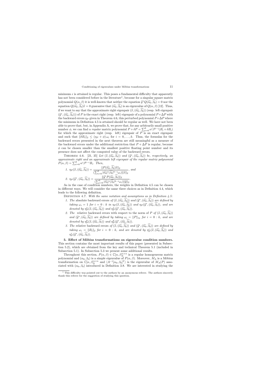minimum  $\epsilon$  is attained is regular. This poses a fundamental difficulty that apparently has not been considered before in the literature<sup>1</sup>, because for a singular square matrix polynomial  $Q(\alpha, \beta)$  it is well-known that neither the equation  $\hat{y}^*Q(\widehat{\alpha_0}, \beta_0) = 0$  nor the equation  $Q(\widehat{\alpha_0}, \widehat{\beta_0})\widehat{x} = 0$  guarantee that  $(\widehat{\alpha_0}, \widehat{\beta_0})$  is an eigenvalue of  $Q(\alpha, \beta)$  [12]. Thus, if we want to say that the approximate right eigenpair  $(\widehat{x}, (\widehat{\alpha_0}, \widehat{\beta_0}))$  (resp. left eigenpair  $(\hat{y}^*,(\hat{\alpha}_0,\hat{\beta}_0))$  of P is the exact right (resp. left) eigenpair of a polynomial  $P+\Delta P$  with<br>the backward errors no given in Theorem 4.6, this perturbed polynomial  $P+\Delta P$  where the backward errors  $\eta_P$  given in Theorem 4.6, this perturbed polynomial  $P+\Delta P$  where the minimum in Definition 4.5 is attained should be regular as well. We have not been able to prove that, but, in Appendix A, we prove that, for any arbitrarily small positive number  $\phi$ , we can find a *regular* matrix polynomial  $P + \delta P = \sum_{i=0}^{k} \alpha^{i} \beta^{k-i} (B_i + \delta B_i)$ for which the approximate right (resp. left) eigenpair of  $\overline{P}$  is an exact eigenpair and such that  $\|\delta B_i\|_2 \leq (\eta_P + \phi)\omega_i$  for  $i = 0, \ldots, k$ . Thus, the formulas for the backward errors presented in the next theorem are still meaningful as a measure of the backward errors under the additional restriction that  $P + \Delta P$  is regular, because  $\phi$  can be chosen smaller than the smallest positive floating point number and its presence does not affect the computed value of the backward errors.

THEOREM 4.6. [21, 35] Let  $(\widehat{x}, (\widehat{\alpha_0}, \widehat{\beta_0}))$  and  $(\widehat{y}^*$ THEOREM 4.6. [21, 35] Let  $(\widehat{x}, (\widehat{\alpha_0}, \beta_0))$  and  $(\widehat{y}^*, (\widehat{\alpha_0}, \beta_0))$  be, respectively, an approximate right and an approximate left eigenpair of the regular matrix polynomial  $P(\alpha, \beta) = \sum_{i=0}^{k} \alpha^{i} \beta^{k-i} B_{i}$ . Then,

1. 
$$
\eta_P(\widehat{x}, (\widehat{\alpha_0}, \widehat{\beta_0})) = \frac{\|P(\widehat{\alpha_0}, \beta_0)\widehat{x}\|_2}{(\sum_{i=0}^k |\widehat{\alpha_0}|^i |\widehat{\beta_0}|^{k-i} \omega_i) \|\widehat{x}\|_2}, \text{ and}
$$
  
\n2.  $\eta_P(\widehat{y}^*, (\widehat{\alpha_0}, \widehat{\beta_0})) = \frac{\|\widehat{y}^* P(\widehat{\alpha_0}, \widehat{\beta_0})\|_2}{(\sum_{i=0}^k |\widehat{\alpha_0}|^i |\widehat{\beta_0}|^{k-i} \omega_i) \|\widehat{y}\|_2}.$   
\nAs in the case of condition numbers, the weights in Definition 4.5 can be chosen

in different ways. We will consider the same three choices as in Definition 4.4, which leads to the following definition.

DEFINITION 4.7. With the same notation and assumptions as in Definition 4.5:

- 1. The absolute backward errors of  $(\widehat{x}, (\widehat{\alpha_0}, \widehat{\beta_0}))$  and  $(\widehat{y}^*, (\widehat{\alpha_0}, \widehat{\beta_0}))$  are defined by taking  $\omega_i = 1$  for  $i = 0 : k$  in  $\eta_P(\widehat{x}, (\widehat{\alpha_0}, \widehat{\beta_0}))$  and  $\eta_P(\widehat{y}^*, (\widehat{\alpha_0}, \widehat{\beta_0}))$ , and are denoted by  $\eta_P^a(\widehat{x}, (\widehat{\alpha_0}, \widehat{\beta_0}))$  and  $\eta_P^a(\widehat{y}^*, (\widehat{\alpha_0}, \widehat{\beta_0}))$ .
- 2. The relative backward errors with respect to the norm of P of  $(\widehat{x}, (\widehat{\alpha_0}, \widehat{\beta_0}))$ and  $(\widehat{y}^*,(\widehat{\alpha_0},\widehat{\beta_0}))$  are defined by taking  $\omega_i = ||P||_{\infty}$  for  $i = 0 : k$ , and are denoted by  $\eta_P^p(\widehat{x}, (\widehat{\alpha_0}, \widehat{\beta_0}))$  and  $\eta_P^p(\widehat{y}^*, (\widehat{\alpha_0}, \widehat{\beta_0}))$ .
- 3. The relative backward errors of  $(\widehat{x}, (\widehat{\alpha_0}, \widehat{\beta_0}))$  and  $(\widehat{y}^*, (\widehat{\alpha_0}, \widehat{\beta_0}))$  are defined by taking  $\omega_i = ||B_i||_2$  for  $i = 0 : k$ , and are denoted by  $\eta_P^r(\widehat{x}, (\widehat{\alpha_0}, \widehat{\beta_0}))$  and  $\eta_P^r(\widehat{y}^*,(\widehat{\alpha_0},\widehat{\beta_0})).$

5. Effect of Möbius transformations on eigenvalue condition numbers. This section contains the most important results of this paper (presented in Subsection 5.2), which are obtained from the key and technical Theorem 5.1 (included in Subsection 5.1). In Subsection 5.3 we present some additional results.

Throughout this section,  $P(\alpha, \beta) \in \mathbb{C}[\alpha, \beta]_k^{n \times n}$  is a regular homogeneous matrix polynomial and  $(\alpha_0, \beta_0)$  is a simple eigenvalue of  $P(\alpha, \beta)$ . Moreover,  $M_A$  is a Möbius transformation on  $\mathbb{C}[\alpha,\beta]_k^{n\times n}$  and  $\langle A^{-1}[\alpha_0,\beta_0]^T\rangle$  is the eigenvalue of  $M_A(P)$  associated with  $(\alpha_0, \beta_0)$  introduced in Definition 3.8. We are interested in studying the

 $<sup>1</sup>$  This difficulty was pointed out to the authors by an anonymous referee. The authors sincerely</sup> thank this referee for the suggestion of studying this question.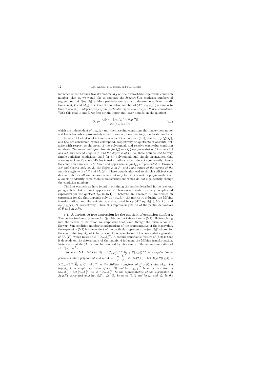influence of the Möbius transformation  $M_A$  on the Stewart-Sun eigenvalue condition number, that is, we would like to compare the Stewart-Sun condition numbers of  $(\alpha_0, \beta_0)$  and  $\langle A^{-1}[\alpha_0, \beta_0]^T \rangle$ . More precisely, our goal is to determine sufficient conditions on A, P and  $M_A(P)$  so that the condition number of  $\langle A^{-1}[\alpha_0, \beta_0]^T \rangle$  is similar to that of  $(\alpha_0, \beta_0)$ , independently of the particular eigenvalue  $(\alpha_0, \beta_0)$  that is considered. With this goal in mind, we first obtain upper and lower bounds on the quotient

$$
Q_{\theta} := \frac{\kappa_{\theta}(\langle A^{-1}[\alpha_0, \beta_0]^T \rangle, M_A(P))}{\kappa_{\theta}((\alpha_0, \beta_0), P)}
$$
(5.1)

which are independent of  $(\alpha_0, \beta_0)$  and, then, we find conditions that make these upper and lower bounds approximately equal to one or, more precisely, moderate numbers.

In view of Definition 4.4, three variants of the quotient (5.1), denoted by  $Q_{\theta}^a, Q_{\theta}^p$ , and  $Q_{\theta}^{r}$ , are considered, which correspond, respectively, to quotients of absolute, relative with respect to the norm of the polynomial, and relative eigenvalue condition numbers. The lower and upper bounds for  $Q_{\theta}^{a}$  and  $Q_{\theta}^{p}$  are presented in Theorems 5.4 and 5.6 and depend only on A and the degree  $k$  of  $P$ . So, these bounds lead to very simple sufficient conditions, valid for all polynomials and simple eigenvalues, that allow us to identify some Möbius transformations which do not significantly change the condition numbers. The lower and upper bounds for  $Q_{\theta}^{r}$  are presented in Theorem 5.9 and depend only on A, the degree k of P, and some ratios of the norms of the matrix coefficients of P and  $M_A(P)$ . These bounds also lead to simple sufficient conditions, valid for all simple eigenvalues but only for certain matrix polynomials, that allow us to identify some Möbius transformations which do not significantly change the condition numbers.

The first obstacle we have found in obtaining the results described in the previous paragraph is that a direct application of Theorem 4.3 leads to a very complicated expression for the quotient  $Q_{\theta}$  in (5.1). Therefore, in Theorem 5.1 we deduce an expression for  $Q_{\theta}$  that depends only on  $(\alpha_0, \beta_0)$ , the matrix A inducing the Möbius transformation, and the weights  $\tilde{\omega}_i$  and  $\omega_i$  used in  $\kappa_\theta (\langle A^{-1}[\alpha_0, \beta_0]^T \rangle, M_A(P))$  and  $\kappa_\theta ((\alpha_0, \beta_0), P)$  respectively. Thus this expression gets rid of the partial derivatives  $\kappa_{\theta}((\alpha_0, \beta_0), P)$ , respectively. Thus, this expression gets rid of the partial derivatives of P and  $M_A(P)$ .

5.1. A derivative-free expression for the quotient of condition numbers. The derivative-free expression for  $Q_{\theta}$  obtained in this section is (5.2). Before diving into the details of its proof, we emphasize that, even though the formula for the Stewart-Sun condition number is independent of the representative of the eigenvalue, the expression (5.2) is independent of the particular representative  $[\alpha_0, \beta_0]^T$  chosen for the eigenvalue  $(\alpha_0, \beta_0)$  of P but not of the representative of the associated eigenvalue of  $M_A(P)$ , which must be  $A^{-1}[\alpha_0, \beta_0]^T$ . A second remarkable feature of (5.2) is that it depends on the determinant of the matrix  $A$  inducing the Möbius transformation. Note also that  $det(A)$  cannot be removed by choosing a different representative of  $\langle A^{-1}[\alpha_0, \beta_0]^T \rangle.$ 

THEOREM 5.1. Let  $P(\alpha, \beta) = \sum_{i=0}^{k} \alpha^{i} \beta^{k-i} B_i \in \mathbb{C}[\alpha, \beta]_{k}^{n \times n}$  be a regular homogeneous matrix polynomial and let  $A = \begin{bmatrix} a & b \\ c & d \end{bmatrix} \in GL(2, \mathbb{C})$ . Let  $M_A(P)(\gamma, \delta) =$  $\sum_{i=0}^k \gamma^i \delta^{k-i} \widetilde{B}_i \in \mathbb{C}[\alpha, \beta]_k^{n \times n}$  be the Möbius transform of  $P(\alpha, \beta)$  under  $M_A$ . Let  $(\alpha_0, \beta_0)$  be a simple eigenvalue of  $P(\alpha, \beta)$  and let  $[\alpha_0, \beta_0]^T$  be a representative of  $(\alpha_0, \beta_0)$ . Let  $[\gamma_0, \delta_0]^T := A^{-1}[\alpha_0, \beta_0]^T$  be the representative of the eigenvalue of  $M_A(P)$  associated with  $[\alpha_0, \beta_0]^T$ . Let  $Q_\theta$  be as in (5.1) and let  $\omega_i$  and  $\tilde{\omega}_i$  be the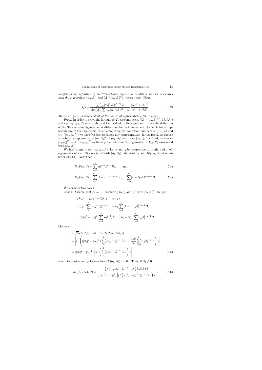weights in the definition of the Stewart-Sun eigenvalue condition number associated with the eigenvalues  $(\alpha_0, \beta_0)$  and  $\langle A^{-1}[\alpha_0, \beta_0]^T \rangle$ , respectively. Then,

$$
Q_{\theta} = \frac{\sum_{i=0}^{k} |\gamma_{0}|^{i} |\delta_{0}|^{(k-i)} \tilde{\omega}_{i}}{|\det(A)| \sum_{i=0}^{k} |\alpha_{0}|^{i} |\beta_{0}|^{(k-i)} \omega_{i}} \frac{|\alpha_{0}|^{2} + |\beta_{0}|^{2}}{|\gamma_{0}|^{2} + |\delta_{0}|^{2}}.
$$
(5.2)

Moreover, (5.2) is independent of the choice of representative for  $(\alpha_0, \beta_0)$ .

*Proof.* In order to prove the formula (5.2), we compute  $\kappa_{\theta}(\langle A^{-1}[\alpha_0, \beta_0]^T \rangle, M_A(P))$ and  $\kappa_{\theta}((\alpha_0, \beta_0), P)$  separately, and then calculate their quotient. Since the definition of the Stewart-Sun eigenvalue condition number is independent of the choice of representative of the eigenvalue, when computing the condition numbers of  $(\alpha_0, \beta_0)$  and  $\langle A^{-1}[\alpha_0, \beta_0]^T \rangle$ , we have freedom to choose any representative. In this proof, we choose an arbitrary representative  $[\alpha_0, \beta_0]^T$  of  $(\alpha_0, \beta_0)$  and, once  $[\alpha_0, \beta_0]^T$  is fixed, we choose  $[\gamma_0, \delta_0]^T := A^{-1}[\alpha_0, \beta_0]^T$  as the representative of the eigenvalue of  $M_A(P)$  associated with  $(\alpha_0, \beta_0)$ .

We first compute  $\kappa_{\theta}((\alpha_0, \beta_0), P)$ . Let x and y be, respectively, a right and a left eigenvector of  $P(\alpha, \beta)$  associated with  $(\alpha_0, \beta_0)$ . We start by simplifying the denominator of (4.1). Note that

$$
D_{\alpha}P(\alpha,\beta) = \sum_{i=1}^{k} i\alpha^{i-1}\beta^{k-i}B_i, \quad \text{and} \quad (5.3)
$$

$$
D_{\beta}P(\alpha,\beta) = \sum_{i=0}^{k-1} (k-i)\alpha^{i}\beta^{k-i-1}B_{i} = \sum_{i=0}^{k} (k-i)\alpha^{i}\beta^{k-i-1}B_{i}.
$$
 (5.4)

We consider two cases.

Case I: Assume that  $\beta_0 \neq 0$ . Evaluating (5.3) and (5.4) at  $[\alpha_0, \beta_0]^T$ , we get

$$
\beta_0 D_\alpha P(\alpha_0, \beta_0) - \overline{\alpha_0} D_\beta P(\alpha_0, \beta_0)
$$
  
=  $|\beta_0|^2 \sum_{i=1}^k i\alpha_0^{i-1} \beta_0^{k-i-1} B_i - \overline{\alpha_0} \sum_{i=0}^k (k-i)\alpha_0^i \beta_0^{k-i-1} B_i$   
=  $(|\beta_0|^2 + |\alpha_0|^2) \sum_{i=1}^k i\alpha_0^{i-1} \beta_0^{k-i-1} B_i - \overline{\alpha_0} k \sum_{i=0}^k \alpha_0^i \beta_0^{k-i-1} B_i.$ 

Moreover,

$$
|y^*(\overline{\beta_0}D_{\alpha}P(\alpha_0, \beta_0) - \overline{\alpha_0}D_{\beta}P(\alpha_0, \beta_0))x|
$$
  
\n
$$
= \left| y^* \left( (|\beta_0|^2 + |\alpha_0|^2) \sum_{i=1}^k i\alpha_0^{i-1}\beta_0^{k-i-1}B_i - \frac{\overline{\alpha_0}k}{\beta_0} \sum_{i=0}^k \alpha_0^i \beta_0^{k-i}B_i \right) x \right|
$$
  
\n
$$
= (|\beta_0|^2 + |\alpha_0|^2) \left| y^* \left( \sum_{i=1}^k i\alpha_0^{i-1}\beta_0^{k-i-1}B_i \right) x \right|,
$$
 (5.5)

where the last equality follows from  $P(\alpha_0, \beta_0)x = 0$ . Thus, if  $\beta_0 \neq 0$ ,

$$
\kappa_{\theta}((\alpha_0, \beta_0), P) = \frac{\left(\sum_{i=0}^k |\alpha_0|^i |\beta_0|^{(k-i)} \omega_i\right) ||y||_2 ||x||_2}{\left(|\beta_0|^2 + |\alpha_0|^2\right) \left|y^* \left(\sum_{i=1}^k i \alpha_0^{i-1} \beta_0^{k-i-1} B_i\right) x\right|}.
$$
(5.6)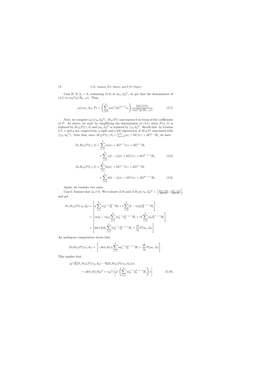Case II: If  $\beta_0 = 0$ , evaluating (5.4) at  $[\alpha_0, \beta_0]^T$ , we get that the denominator of  $(4.1)$  is  $|\alpha_0|^k |y^* B_{k-1} x|$ . Thus,

$$
\kappa_{\theta}((\alpha_0, \beta_0), P) = \left(\sum_{i=0}^k |\alpha_0|^i |\beta_0|^{(k-i)} \omega_i\right) \frac{\|y\|_2 \|x\|_2}{|\alpha_0|^k |y^* B_{k-1} x|}.\tag{5.7}
$$

Next, we compute  $\kappa_{\theta}(\langle [\gamma_0, \delta_0]^T \rangle, M_A(P))$  and express it in terms of the coefficients of P. As above, we start by simplifying the denominator of  $(4.1)$  when  $P(\alpha, \beta)$  is replaced by  $M_A(P)(\gamma,\delta)$  and  $[\alpha_0,\beta_0]^T$  is replaced by  $[\gamma_0,\delta_0]^T$ . Recall that, by Lemma 3.7, x and y are, respectively, a right and a left eigenvector of  $M_A(P)$  associated with  $\langle [\gamma_0, \delta_0]^T \rangle$ . Note that, since  $M_A(P)(\gamma, \delta) = \sum_{i=0}^k (a\gamma + b\delta)^i (c\gamma + d\delta)^{k-i} B_i$ , we have

$$
D_{\gamma}M_{A}(P)(\gamma,\delta) = \sum_{i=1}^{k} ai(a\gamma + b\delta)^{i-1}(c\gamma + d\delta)^{k-i}B_{i}
$$
  
+ 
$$
\sum_{i=0}^{k} c(k-i)(a\gamma + b\delta)^{i}(c\gamma + d\delta)^{k-i-1}B_{i}, \qquad (5.8)
$$
  

$$
D_{\delta}M_{A}(P)(\gamma,\delta) = \sum_{i=1}^{k} bi(a\gamma + b\delta)^{i-1}(c\gamma + d\delta)^{k-i}B_{i}
$$
  
+ 
$$
\sum_{i=0}^{k} d(k-i)(a\gamma + b\delta)^{i}(c\gamma + d\delta)^{k-i-1}B_{i}.
$$
 (5.9)

Again, we consider two cases.

Case I: Assume that  $\beta_0 \neq 0$ . We evaluate (5.8) and (5.9) at  $[\gamma_0, \delta_0]^T = \left[\frac{d\alpha_0 - b\beta_0}{\det(A)}, \frac{a\beta_0 - c\alpha_0}{\det(A)}\right]$ , and get

$$
D_{\gamma}M_{A}(P)(\gamma_{0},\delta_{0}) = \left[a\sum_{i=1}^{k}i\alpha_{0}^{i-1}\beta_{0}^{k-i}B_{i} + c\sum_{i=0}^{k}(k-i)\alpha_{0}^{i}\beta_{0}^{k-i-1}B_{i}\right]
$$
  
=  $\left[(a\beta_{0} - c\alpha_{0})\sum_{i=1}^{k}i\alpha_{0}^{i-1}\beta_{0}^{k-i-1}B_{i} + ck\sum_{i=0}^{k}\alpha_{0}^{i}\beta_{0}^{k-i-1}B_{i}\right]$   
=  $\left[\det(A)\delta_{0}\sum_{i=1}^{k}i\alpha_{0}^{i-1}\beta_{0}^{k-i-1}B_{i} + \frac{ck}{\beta_{0}}P(\alpha_{0},\beta_{0})\right].$ 

An analogous computation shows that

$$
D_{\delta} M_A(P)(\gamma_0, \delta_0) = \left[ -\det(A) \gamma_0 \sum_{i=1}^k i \alpha_0^{i-1} \beta_0^{k-i-1} B_i + \frac{dk}{\beta_0} P(\alpha_0, \beta_0) \right].
$$

This implies that,

$$
\begin{split} \left| y^* (\overline{\delta_0} D_\gamma M_A(P)(\gamma_0, \delta_0) - \overline{\gamma_0} D_\delta M_A(P)(\gamma_0, \delta_0)) x \right| \\ &= |\text{det}(A)| (|\delta_0|^2 + |\gamma_0|^2) \left| y^* \left( \sum_{i=1}^k i \alpha_0^{i-1} \beta_0^{k-i-1} B_i \right) x \right|. \end{split} \tag{5.10}
$$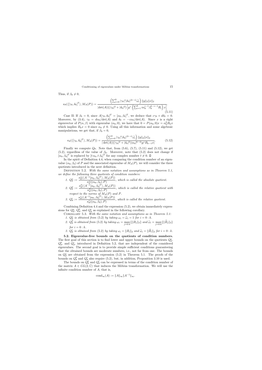Thus, if  $\beta_0 \neq 0$ ,

$$
\kappa_{\theta}(\langle [\gamma_0, \delta_0]^T \rangle, M_A(P)) = \frac{\left(\sum_{i=0}^k |\gamma_0|^i |\delta_0|^{(k-i)} \widetilde{\omega_i}\right) \|y\|_2 \|x\|_2}{|\det(A)| (|\gamma_0|^2 + |\delta_0|^2) |y^* \left(\sum_{i=1}^k i \alpha_0^{i-1} \beta_0^{k-i-1} B_i\right) x|}.
$$
\n(5.11)

Case II: If  $\beta_0 = 0$ , since  $A[\gamma_0, \delta_0]^T = [\alpha_0, \beta_0]^T$ , we deduce that  $c\gamma_0 + d\delta_0 = 0$ . Moreover, by (3.4),  $\gamma_0 = d\alpha_0/\text{det}(A)$  and  $\delta_0 = -c\alpha_0/\text{det}(A)$ . Since x is a right eigenvector of  $P(\alpha, \beta)$  with eigenvalue  $(\alpha_0, 0)$ , we have that  $0 = P(\alpha_0, 0)x = \alpha_0^k B_k x$ which implies  $B_kx = 0$  since  $\alpha_0 \neq 0$ . Using all this information and some algebraic manipulations, we get that, if  $\beta_0 = 0$ ,

$$
\kappa_{\theta}(\langle [\gamma_0, \delta_0]^T \rangle, M_A(P)) = \frac{\left(\sum_{i=0}^k |\gamma_0|^i |\delta_0|^{(k-i)} \widetilde{\omega_i}\right) \|y\|_2 \|x\|_2}{|\det(A)| (|\gamma_0|^2 + |\delta_0|^2)|\alpha_0|^{k-2} |y^* B_{k-1} x|}.
$$
(5.12)

Finally we compute  $Q_{\theta}$ . Note that, from (5.6), (5.7), (5.11) and (5.12), we get  $(5.2)$ , regardless of the value of  $\beta_0$ . Moreover, note that  $(5.2)$  does not change if  $[\alpha_0, \beta_0]^T$  is replaced by  $[t \alpha_0, t \beta_0]^T$  for any complex number  $t \neq 0$ .

In the spirit of Definition 4.4, when comparing the condition number of an eigenvalue  $(\alpha_0, \beta_0)$  of P and the associated eigenvalue of  $M_A(P)$ , we will consider the three quotients introduced in the next definition.

DEFINITION 5.2. With the same notation and assumptions as in Theorem 5.1, we define the following three quotients of condition numbers:

- 1.  $Q_{\theta}^a := \frac{\kappa_{\theta}^a(\langle A^{-1}[\alpha_0, \beta_0]^T \rangle, M_A(P))}{\kappa^a((\alpha_0, \beta_0) P)}$  $\frac{\Gamma(\omega_0, \mu_0, \cdots, \mu_{\alpha+1})}{\kappa_{\theta}^a((\alpha_0, \beta_0), P)},$  which is called the absolute quotient.
- 2.  $Q_{\theta}^{p} := \frac{\kappa_{\theta}^{p}(\langle A^{-1}[\alpha_{0},\beta_{0}]^{T}\rangle, M_{A}(P))}{\kappa^{p}(\langle \alpha_{0},\beta_{0}\rangle, P)}$  $\frac{\Gamma(\omega_0,\mu_0)}{\kappa_{\theta}^p((\alpha_0,\beta_0),P)}$ , which is called the relative quotient with

respect to the norms of  $M_A(P)$  and P.

3.  $Q_{\theta}^r := \frac{\kappa_{\theta}^r (\langle A^{-1}[\alpha_0, \beta_0]^T \rangle, M_A(P))}{\kappa^r (\langle \alpha_0, \beta_0 \rangle - P)}$  $\frac{\Gamma(\alpha_0, \beta_0)}{\kappa_{\theta}^r((\alpha_0, \beta_0), P)}$ , which is called the relative quotient.

Combining Definition 4.4 and the expression (5.2), we obtain immediately expressions for  $Q_{\theta}^{a}$ ,  $Q_{\theta}^{p}$ , and  $Q_{\theta}^{r}$  as explained in the following corollary.

COROLLARY 5.3. With the same notation and assumptions as in Theorem 5.1:

- 1.  $Q_{\theta}^{a}$  is obtained from (5.2) by taking  $\omega_{i} = \tilde{\omega}_{i} = 1$  for  $i = 0 : k$ .
- 2.  $Q_{\theta}^{p}$  is obtained from (5.2) by taking  $\omega_i = \max_{j=0:k} \{||B_j||_2\}$  and  $\widetilde{\omega}_i = \max_{j=0:k} \{||\widetilde{B}_j||_2\}$ for  $i = 0:k$ .
- 3.  $Q_{\theta}^{r}$  is obtained from (5.2) by taking  $\omega_{i} = ||B_{i}||_{2}$  and  $\widetilde{\omega}_{i} = ||\widetilde{B}_{i}||_{2}$  for  $i = 0 : k$ .

5.2. Eigenvalue-free bounds on the quotients of condition numbers. The first goal of this section is to find lower and upper bounds on the quotients  $Q_{\theta}^a$ ,  $Q_{\theta}^{p}$ , and  $Q_{\theta}^{r}$ , introduced in Definition 5.2, that are independent of the considered eigenvalues. The second goal is to provide simple sufficient conditions guaranteeing that the obtained bounds are moderate numbers, i.e., not far from one. The bounds on  $Q_{\theta}^{a}$  are obtained from the expression (5.2) in Theorem 5.1. The proofs of the bounds on  $Q_{\theta}^p$  and  $Q_{\theta}^r$  also require (5.2), but, in addition, Proposition 3.10 is used.

The bounds on  $Q_{\theta}^{p}$  and  $Q_{\theta}^{r}$  can be expressed in terms of the condition number of the matrix  $A \in GL(2,\mathbb{C})$  that induces the Möbius transformation. We will use the infinite condition number of A, that is,

$$
\text{cond}_{\infty}(A) := \|A\|_{\infty} \|A^{-1}\|_{\infty}.
$$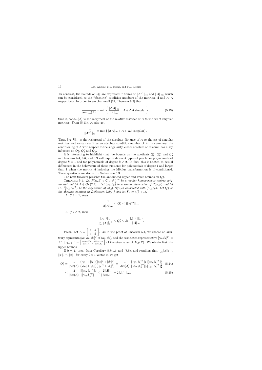In contrast, the bounds on  $Q_{\theta}^a$  are expressed in terms of  $||A^{-1}||_{\infty}$  and  $||A||_{\infty}$ , which can be considered as the "absolute" condition numbers of the matrices A and  $A^{-1}$ , respectively. In order to see this recall [19, Theorem 6.5] that

$$
\frac{1}{\text{cond}_{\infty}(A)} = \min\left\{ \frac{\|\Delta A\|_{\infty}}{\|A\|_{\infty}} : A + \Delta A \text{ singular} \right\},\tag{5.13}
$$

that is,  $\text{cond}_{\infty}(A)$  is the reciprocal of the relative distance of A to the set of singular matrices. From (5.13), we also get

$$
\frac{1}{\|A^{-1}\|_{\infty}} = \min \left\{ \|\Delta A\|_{\infty} : A + \Delta A \text{ singular} \right\}.
$$

Thus,  $||A^{-1}||_{\infty}$  is the reciprocal of the absolute distance of A to the set of singular matrices and we can see it as an absolute condition number of A. In summary, the conditioning of A with respect to the singularity, either absolute or relative, has a key influence on  $Q_{\theta}^a$ ,  $Q_{\theta}^p$  and  $Q_{\theta}^r$ .

It is interesting to highlight that the bounds on the quotients  $Q_{\theta}^{a}$ ,  $Q_{\theta}^{p}$ , and  $Q_{\theta}^{r}$ in Theorems 5.4, 5.6, and 5.9 will require different types of proofs for polynomials of degree  $k = 1$  and for polynomials of degree  $k \geq 2$ . In fact, this is related to actual differences in the behaviours of these quotients for polynomials of degree 1 and larger than 1 when the matrix  $A$  inducing the Möbius transformation is ill-conditioned. These questions are studied in Subsection 5.3.

The next theorem presents the announced upper and lower bounds on  $Q_{\theta}^{a}$ .

THEOREM 5.4. Let  $P(\alpha, \beta) \in \mathbb{C}[\alpha, \beta]_k^{n \times n}$  be a regular homogeneous matrix polynomial and let  $A \in GL(2,\mathbb{C})$ . Let  $(\alpha_0, \beta_0)$  be a simple eigenvalue of  $P(\alpha, \beta)$  and let  $\langle A^{-1}[\alpha_0,\beta_0]^T\rangle$  be the eigenvalue of  $M_A(P)(\gamma,\delta)$  associated with  $(\alpha_0,\beta_0)$ . Let  $Q_\theta^a$  be the absolute quotient in Definition 5.2(1.) and let  $S_k := 4(k + 1)$ .

1. If  $k = 1$ , then

$$
\frac{1}{2||A||_{\infty}} \le Q_{\theta}^a \le 2||A^{-1}||_{\infty}.
$$

2. If  $k > 2$ , then

$$
\frac{\|A^{-1}\|_{\infty}}{S_k \|A\|_{\infty}^{k-1}} \le Q_{\theta}^a \le S_k \frac{\|A^{-1}\|_{\infty}^{k-1}}{\|A\|_{\infty}}.
$$

*Proof.* Let  $A = \begin{bmatrix} a & b \\ c & d \end{bmatrix}$ . As in the proof of Theorem 5.1, we choose an arbitrary representative  $[\alpha_0, \beta_0]^T$  of  $(\alpha_0, \beta_0)$ , and the associated representative  $[\gamma_0, \delta_0]^T :=$  $A^{-1}[\alpha_0,\beta_0]^T = \left[\frac{d\alpha_0 - b\beta_0}{\det(A)}, \frac{a\beta_0 - c\alpha_0}{\det(A)}\right]$  of the eigenvalue of  $M_A(P)$ . We obtain first the upper bounds.

If  $k = 1$ , then, from Corollary 5.3(1.) and (3.5), and recalling that  $\frac{1}{\sqrt{2}}$  $\frac{1}{2}||x||_1 \leq$  $||x||_2 \le ||x||_1$  for every  $2 \times 1$  vector x, we get

$$
Q_{\theta}^{a} = \frac{1}{|\det(A)|} \frac{(|\gamma_{0}| + |\delta_{0}|)(|\alpha_{0}|^{2} + |\beta_{0}|^{2})}{(|\alpha_{0}| + |\beta_{0}|)(|\gamma_{0}|^{2} + |\delta_{0}|^{2})} = \frac{1}{|\det(A)|} \frac{\|[\gamma_{0}, \delta_{0}]^{T}\|_{1}\|[\alpha_{0}, \beta_{0}]^{T}\|_{2}^{2}}{\|[\alpha_{0}, \beta_{0}]^{T}\|_{1}\|[\gamma_{0}, \delta_{0}]^{T}\|_{2}^{2}} \quad (5.14)
$$
  

$$
\leq 2 \frac{\|[\alpha_{0}, \beta_{0}]^{T}\|_{1}}{\|[\alpha_{0}, \beta_{0}]^{T}\|_{1}} \leq 2\|A\|_{1} \quad \text{all } A=111}
$$

$$
\leq \frac{2}{|\det(A)|} \frac{\|[\alpha_0, \beta_0]^T\|_1}{\|[\gamma_0, \delta_0]^T\|_1} \leq \frac{2\|A\|_1}{|\det(A)|} = 2\|A^{-1}\|_{\infty}.
$$
\n(5.15)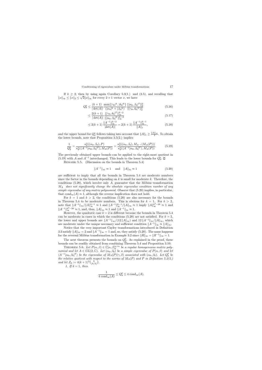If  $k \geq 2$ , then by using again Corollary 5.3(1.) and (3.5), and recalling that  $||x||_{\infty} \le ||x||_2 \le \sqrt{2||x||_{\infty}}$  for every  $2 \times 1$  vector x, we have

$$
Q_{\theta}^{a} \le \frac{(k+1)}{|\det(A)|} \frac{\max\{|\gamma_{0}|^{k}, |\delta_{0}|^{k}\}}{(|\alpha_{0}|^{k} + |\beta_{0}|^{k})} \frac{\|[\alpha_{0}, \beta_{0}|^{T}\|_{2}^{2}}{\|[\gamma_{0}, \delta_{0}]^{T}\|_{2}^{2}} \tag{5.16}
$$

$$
\leq \frac{2(k+1)}{|\det(A)|} \frac{\|[\gamma_0, \delta_0]^T\|_{\infty}^{k-2}}{\|[\alpha_0, \beta_0]^T\|_{\infty}^{k-2}} \tag{5.17}
$$

$$
\leq 2(k+1) \frac{\|A^{-1}\|_{\infty}^{k-2}}{|\det(A)|} = 2(k+1) \frac{\|A^{-1}\|_{\infty}^{k-1}}{\|A\|_1},\tag{5.18}
$$

and the upper bound for  $Q_{\theta}^a$  follows taking into account that  $||A||_1 \ge \frac{||A||_{\infty}}{2}$ . To obtain the lower bounds, note that Proposition 3.5(2.) implies

$$
\frac{1}{Q_{\theta}^{a}} = \frac{\kappa_{\theta}^{a}((\alpha_{0}, \beta_{0}), P)}{\kappa_{\theta}^{a}(\langle A^{-1}[\alpha_{0}, \beta_{0}]^{T}\rangle, M_{A}(P))} = \frac{\kappa_{\theta}^{a}((\alpha_{0}, \beta_{0}), M_{A^{-1}}(M_{A}(P)))}{\kappa_{\theta}^{a}(\langle A^{-1}[\alpha_{0}, \beta_{0}]^{T}\rangle, M_{A}(P))}.
$$
(5.19)

The previously obtained upper bounds can be applied to the right-most quotient in (5.19) with A and  $A^{-1}$  interchanged. This leads to the lower bounds for  $Q_{\theta}^{a}$ .

REMARK 5.5. (Discussion on the bounds in Theorem 5.4)

$$
||A^{-1}||_{\infty} \approx 1 \quad \text{and} \quad ||A||_{\infty} \approx 1 \tag{5.20}
$$

are sufficient to imply that all the bounds in Theorem 5.4 are moderate numbers since the factor in the bounds depending on  $k$  is small for moderate  $k$ . Therefore, the conditions  $(5.20)$ , which involve only A, guarantee that the Möbius transformation M<sup>A</sup> does not significantly change the absolute eigenvalue condition number of any simple eigenvalue of any matrix polynomial. Observe that (5.20) implies, in particular, that  $\text{cond}_{\infty}(A) \approx 1$ , although the reverse implication does not hold.

For  $k = 1$  and  $k > 2$ , the conditions (5.20) are also necessary for the bounds in Theorem 5.4 to be moderate numbers. This is obvious for  $k = 1$ . For  $k > 2$ , note that  $||A^{-1}||_{\infty}/||A||_{\infty}^{k-1} \approx 1$  and  $||A^{-1}||_{\infty}^{k-1}/||A||_{\infty} \approx 1$  imply  $||A||_{\infty}^{k^2-2k} \approx 1$  and  $||A^{-1}||_{\infty}^{k^2-2k} \approx 1$ , and, thus,  $||A||_{\infty} \approx 1$  and  $||A^{-1}||_{\infty} \approx 1$ .

However, the quadratic case  $k = 2$  is different because the bounds in Theorem 5.4 can be moderate in cases in which the conditions (5.20) are not satisfied. For  $k = 2$ , the lower and upper bounds are  $||A^{-1}||_{\infty}/(12 ||A||_{\infty})$  and  $12 ||A^{-1}||_{\infty}/||A||_{\infty}$ , which are moderate under the unique necessary and sufficient condition  $\|\widetilde{A}^{-1}\|_{\infty} \approx \|A\|_{\infty}$ .

Notice that the very important Cayley transformations introduced in Definition 3.3 satisfy  $||A||_{\infty} = 2$  and  $||A^{-1}||_{\infty} = 1$  and, so, they satisfy (5.20). The same happens for the reversal Möbius transformation in Example 3.2 since  $||R||_{\infty} = ||R^{-1}||_{\infty} = 1$ .

The next theorem presents the bounds on  $Q_{\theta}^{p}$ . As explained in the proof, these bounds can be readily obtained from combining Theorem 5.4 and Proposition 3.10.

THEOREM 5.6. Let  $P(\alpha, \beta) \in \mathbb{C}[\alpha, \beta]_k^{n \times n}$  be a regular homogeneous matrix polynomial and let  $A \in GL(2,\mathbb{C})$ . Let  $(\alpha_0, \beta_0)$  be a simple eigenvalue of  $P(\alpha, \beta)$  and let  $\langle A^{-1}[\alpha_0,\beta_0]^T\rangle$  be the eigenvalue of  $M_A(P)(\gamma,\delta)$  associated with  $(\alpha_0,\beta_0)$ . Let  $Q_\theta^p$  be the relative quotient with respect to the norms of  $M_A(P)$  and P in Definition 5.2(2.) and let  $Z_k := 4(k+1)^2 {k \choose \lfloor k/2 \rfloor}.$ 

1. If  $k = 1$ , then

$$
\frac{1}{4\mathop{\rm{cond}}_\infty(A)}\leq Q^p_\theta\leq 4\mathop{\rm{cond}}_\infty(A).
$$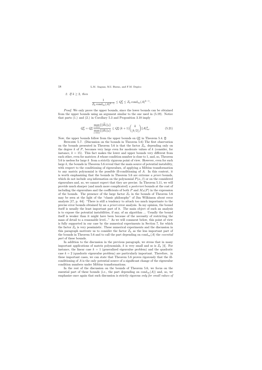2. If  $k \geq 2$ , then

$$
\frac{1}{Z_k \mathop{\mathrm{cond}}\nolimits_\infty(A)^{k-1}} \leq Q_\theta^p \leq Z_k \mathop{\mathrm{cond}}\nolimits_\infty(A)^{k-1}.
$$

Proof. We only prove the upper bounds, since the lower bounds can be obtained from the upper bounds using an argument similar to the one used in (5.19). Notice that parts (1.) and (2.) in Corollary 5.3 and Proposition 3.10 imply

$$
Q_{\theta}^{p} = Q_{\theta}^{a} \frac{\max\limits_{i=0:k} \{ \|B_{i}\|_{2} \}}{\max\limits_{i=0:k} \{ \|B_{i}\|_{2} \}} \leq Q_{\theta}^{a} \left(k+1\right) \binom{k}{\lfloor k/2 \rfloor} \|A\|_{\infty}^{k}.
$$
 (5.21)

Now, the upper bounds follow from the upper bounds on  $Q_{\theta}^{a}$  in Theorem 5.4.

REMARK 5.7. (Discussion on the bounds in Theorem 5.6) The first observation on the bounds presented in Theorem 5.6 is that the factor  $Z_k$ , depending only on the degree  $k$  of  $P$ , becomes very large even for moderate values of  $k$  (consider, for instance,  $k = 15$ ). This fact makes the lower and upper bounds very different from each other, even for matrices A whose condition number is close to 1, and, so, Theorem 5.6 is useless for large k from a strictly rigurous point of view. However, even for such large  $k$ , the bounds in Theorem 5.6 reveal that the main source of potential instability, with respect to the conditioning of eigenvalues, of applying a Möbius transformation to any matrix polynomial is the possible ill-conditioning of A. In this context, it is worth emphasizing that the bounds in Theorem  $5.6$  are extreme a priori bounds. which do not include *any* information on the polynomial  $P(\alpha, \beta)$  or on the considered eigenvalues and, so, we cannot expect that they are precise. In Theorem 5.11, we will provide much sharper (and much more complicated) a posteriori bounds at the cost of including the eigenvalues and the coefficients of both  $P$  and  $M_A(P)$  in the expression of the bounds. The presence of the large factor  $Z_k$  in the bounds of Theorem 5.6 may be seen at the light of the "classic philosophy" of Jim Wilkinson about error analysis [17, p. 64]: "There is still a tendency to attach too much importante to the precise error bounds obtained by an a priori error analysis. In my opinion, the bound itself is usually the least important part of it. The main object of such an analysis is to expose the potential instabilities, if any, of an algorithm ... Usually the bound itself is weaker than it might have been because of the necessity of restricting the mass of detail to a reasonable level..." As we will comment below, this point of view is fully supported in our case by the numerical experiments in Section 7, for which the factor  $Z_k$  is very pessimistic. These numerical experiments and the discussion in this paragraph motivate us to consider the factor  $Z_k$  as the less important part of the bounds in Theorem 5.6 and to call the part depending on  $\text{cond}_{\infty}(A)$  the *essential* part of these bounds.

In addition to the discussion in the previous paragraph, we stress that in many important applications of matrix polynomials, k is very small and so is  $Z_k$  [4]. For instance, the linear case  $k = 1$  (generalized eigenvalue problem) and the quadratic case  $k = 2$  (quadratic eigenvalue problem) are particularly important. Therefore, in these important cases, we can state that Theorem 5.6 proves rigorously that the illconditioning of A is the only potential source of a significant change of the eigenvalue condition numbers under Möbius transformations.

In the rest of the discussion on the bounds of Theorem 5.6, we focus on the essential part of these bounds (i.e., the part depending on  $\text{cond}_{\infty}(A)$ ) and, so, we emphasize once again that such discussion is strictly rigorous only for small values of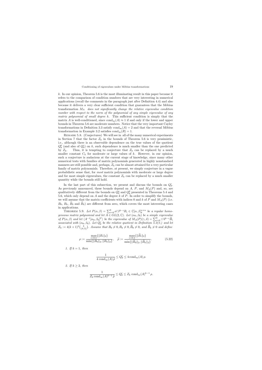k. In our opinion, Theorem 5.6 is the most illuminating result in this paper because it refers to the comparison of condition numbers that are very interesting in numerical applications (recall the comments in the paragraph just after Definition 4.4) and also because it delivers a very clear sufficient condition that guarantees that the Möbius transformation  $M_A$  does not significantly change the relative eigenvalue condition number with respect to the norm of the polynomial of any simple eigenvalue of any matrix polynomial of small degree  $k$ . This sufficient condition is simply that the matrix A is well-conditioned, since  $\text{cond}_{\infty}(A) \approx 1$  if and only if the lower and upper bounds in Theorem 5.6 are moderate numbers. Notice that the very important Cayley transformations in Definition 3.3 satisfy  $\text{cond}_{\infty}(A) = 2$  and that the reversal Möbius transformation in Example 3.2 satisfies  $\text{cond}_{\infty}(R) = 1$ .

REMARK 5.8. (Conjectures) We will see in all of the many numerical experiments in Section 7 that the factor  $Z_k$  in the bounds of Theorem 5.6 is very pessimistic, i.e., although there is an observable dependence on the true values of the quotient  $Q_{\theta}^{p}$  (and also of  $Q_{\theta}^{r}$ ) on k, such dependence is much smaller than the one predicted by  $Z_k$ . Thus, it is tempting to conjecture that  $Z_k$  can be replaced by a much smaller constant  $C_k$  for moderate or large values of k. However, in our opinion, such a conjecture is audacious at the current stage of knowledge, since many other numerical tests with families of matrix polynomials generated in highly nonstandard manners are still possible and, perhaps,  $Z_k$  can be almost attained for a very particular family of matrix polynomials. Therefore, at present, we simply conjecture in a vague probabilistic sense that, for most matrix polynomials with moderate or large degree and for most simple eigenvalues, the constant  $Z_k$  can be replaced by a much smaller quantity while the bounds still hold.

In the last part of this subsection, we present and discuss the bounds on  $Q_{\theta}^{r}$ . As previously announced, these bounds depend on  $A$ ,  $P$ , and  $M_A(P)$  and, so, are qualitatively different from the bounds on  $Q_{\theta}^{a}$  and  $Q_{\theta}^{p}$  presented in Theorems 5.4 and 5.6, which only depend on  $A$  and the degree  $k$  of  $P$ . In order to simplify the bounds, we will assume that the matrix coefficients with indices 0 and k of P and  $M_A(P)$  (i.e.  $B_0, B_k, \tilde{B}_0$  and  $\tilde{B}_k$ ) are different from zero, which covers the most interesting cases in applications.

THEOREM 5.9. Let  $P(\alpha, \beta) = \sum_{i=0}^{k} \alpha^{i} \beta^{k-i} B_i \in \mathbb{C}[\alpha, \beta]_k^{n \times n}$  be a regular homogeneous matrix polynomial and let  $\overline{A} \in GL(2, \mathbb{C})$ . Let  $(\alpha_0, \beta_0)$  be a simple eigenvalue of  $P(\alpha, \beta)$  and let  $\langle A^{-1}[\alpha_0, \beta_0]^T \rangle$  be the eigenvalue of  $M_A(P)(\gamma, \delta) = \sum_{k=0}^k \gamma^i \delta^{k-i} \widetilde{B}_k$ associated with  $(\alpha_0, \beta_0)$ . Let  $Q_\theta^r$  be the relative quotient in Definition 5.2(3.) and let  $Z_k := 4(k+1)^2 {k \choose \lfloor k/2 \rfloor}$ . Assume that  $B_0 \neq 0, B_k \neq 0, \widetilde{B}_0 \neq 0$ , and  $\widetilde{B}_k \neq 0$  and define

$$
\rho := \frac{\max_{i=0:k} \{ \|B_i\|_2\}}{\min\{\|B_0\|_2, \|B_k\|_2\}}, \quad \tilde{\rho} := \frac{\max_{i=0:k} \{ \|B_i\|_2\}}{\min\{\|\tilde{B}_0\|_2, \|\tilde{B}_k\|_2\}}.
$$
(5.22)

1. If  $k = 1$ , then

$$
\frac{1}{4 \operatorname{cond}_{\infty}(A) \tilde{\rho}} \le Q_{\theta}^{r} \le 4 \operatorname{cond}_{\infty}(A) \rho.
$$

2. If  $k \geq 2$ , then

$$
\frac{1}{Z_k \operatorname{cond}_{\infty}(A)^{k-1} \widetilde{\rho}} \le Q_{\theta}^r \le Z_k \operatorname{cond}_{\infty}(A)^{k-1} \rho.
$$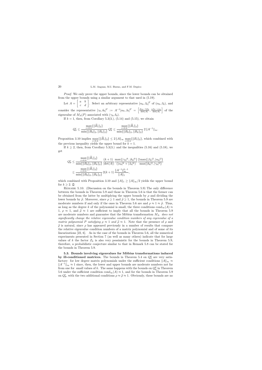Proof. We only prove the upper bounds, since the lower bounds can be obtained from the upper bounds using a similar argument to that used in (5.19).

Let  $A = \begin{bmatrix} a & b \\ c & d \end{bmatrix}$ . Select an arbitrary representative  $[\alpha_0, \beta_0]^T$  of  $(\alpha_0, \beta_0)$ , and consider the representative  $[\gamma_0, \delta_0]^T := A^{-1} [\alpha_0, \beta_0]^T = \begin{bmatrix} \frac{d\alpha_0 - b\beta_0}{\det(A)}, \frac{a\beta_0 - c\alpha_0}{\det(A)} \end{bmatrix}$  of the eigenvalue of  $M_A(P)$  associated with  $(\gamma_0, \delta_0)$ .

If  $k = 1$ , then, from Corollary 5.3(3.), (5.14) and (5.15), we obtain

$$
Q_{\theta}^{r} \leq \frac{\max\limits_{i=0:k}\{\|B_{i}\|_{2}\}}{\min\{\|B_{0}\|_{2},\|B_{k}\|_{2}\}} Q_{\theta}^{a} \leq \frac{\max\limits_{i=0:k}\{\|B_{i}\|_{2}\}}{\min\{\|B_{0}\|_{2},\|B_{k}\|_{2}\}} 2\|A^{-1}\|_{\infty}.
$$

Proposition 3.10 implies  $\max_{i=0:k} \{||B_i||_2\} \leq 2 ||A||_{\infty} \max_{i=0:k} \{||B_i||_2\}$ , which combined with the previous inequality yields the upper bound for  $k = 1$ .

If  $k \geq 2$ , then, from Corollary 5.3(3.) and the inequalities (5.16) and (5.18), we get

$$
Q_{\theta}^{r} \leq \frac{\max\limits_{i=0:k} \{ \|B_{i}\|_{2} \}}{\min\{\|B_{0}\|_{2}, \|B_{k}\|_{2}\}} \frac{(k+1)}{|\det(A)|} \frac{\max\{|\gamma_{0}|^{k}, |\delta_{0}|^{k}\}}{(|\alpha_{0}|^{k} + |\beta_{0}|^{k})} \frac{2 \max\{|\beta_{0}|^{2}, |\alpha_{0}|^{2}\}}{\max\{|\delta_{0}|^{2}, |\gamma_{0}|^{2}\}}
$$

$$
\leq \frac{\max\limits_{i=0:k} \{ \|\widetilde{B}_{i}\|_{2} \}}{\min\{\|B_{0}\|_{2}, \|B_{k}\|_{2}\}} 2(k+1) \frac{\|A^{-1}\|_{\infty}^{k-1}}{\|A\|_{1}},
$$

which combined with Proposition 3.10 and  $||A||_1 \ge ||A||_{\infty}/2$  yields the upper bound for  $k \geq 2$ .  $\Box$ 

REMARK 5.10. (Discussion on the bounds in Theorem 5.9) The only difference between the bounds in Theorem 5.9 and those in Theorem 5.6 is that the former can be obtained from the latter by multiplying the upper bounds by  $\rho$  and dividing the lower bounds by  $\tilde{\rho}$ . Moreover, since  $\rho \geq 1$  and  $\tilde{\rho} \geq 1$ , the bounds in Theorem 5.9 are moderate numbers if and only if the ones in Theorem 5.6 are and  $\rho \approx 1 \approx \tilde{\rho}$ . Thus, as long as the degree k of the polynomial is small, the three conditions  $\text{cond}_{\infty}(A) \approx$ 1,  $\rho \approx 1$ , and  $\tilde{\rho} \approx 1$  are sufficient to imply that all the bounds in Theorem 5.9 are moderate numbers and guarantee that the Möbius transformation  $M_A$  does not significantly change the relative eigenvalue condition numbers of any eigenvalue of a matrix polynomial P satisfying  $\rho \approx 1$  and  $\tilde{\rho} \approx 1$ . Note that the presence of  $\rho$  and  $\tilde{\rho}$  is natural, since  $\rho$  has appeared previously in a number of results that compare the relative eigenvalue condition numbers of a matrix polynomial and of some of its linearizations [22, 6]. As in the case of the bounds in Theorem 5.6, all the numerical experiments presented in Section 7 (as well as many others) indicate that for large values of k the factor  $Z_k$  is also very pessimistic for the bounds in Theorem 5.9, therefore, a probabilistic conjecture similar to that in Remark 5.8 can be stated for the bounds in Theorem 5.9.

5.3. Bounds involving eigenvalues for Möbius transformations induced by ill-conditioned matrices. The bounds in Theorem 5.4 on  $Q_{\theta}^{a}$  are very satisfactory for low degree matrix polynomials under the sufficient conditions  $||A||_{\infty} \approx$  $||A^{-1}||_{\infty} \approx 1$  since, then, the lower and upper bounds are moderate numbers not far from one for small values of k. The same happens with the bounds on  $Q_{\theta}^{p}$  in Theorem 5.6 under the sufficient condition  $\text{cond}_{\infty}(A) \approx 1$ , and for the bounds in Theorem 5.9 on  $Q_{\theta}^{r}$ , with the two additional conditions  $\rho \approx \tilde{\rho} \approx 1$ . Obviously, these bounds are no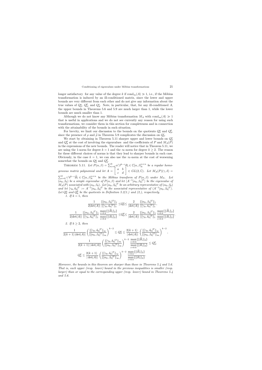longer satisfactory for any value of the degree k if  $\text{cond}_{\infty}(A) \gg 1$ , i.e., if the Möbius transformation is induced by an ill-conditioned matrix, since the lower and upper bounds are very different from each other and do not give any information about the true values of  $Q_{\theta}^{a}$ ,  $Q_{\theta}^{p}$ , and  $Q_{\theta}^{r}$ . Note, in particular, that, for any ill-conditioned A, the upper bounds in Theorems 5.6 and 5.9 are much larger than 1, while the lower bounds are much smaller than 1.

Although we do not know any Möbius transformation  $M_A$  with  $\text{cond}_{\infty}(A) \gg 1$ that is useful in applications and we do not see currently any reason for using such transformations, we consider them in this section for completeness and in connection with the attainability of the bounds in such situation.

For brevity, we limit our discussion to the bounds on the quotients  $Q_{\theta}^a$  and  $Q_{\theta}^p$ , since the presence of  $\rho$  and  $\tilde{\rho}$  in Theorem 5.9 complicates the discussion on  $Q_{\rho}^{r}$ .<br>We start by obtaining in Theorem 5.11 sharper upper and lower bounds of

We start by obtaining in Theorem 5.11 sharper upper and lower bounds on  $Q_{\theta}^{a}$ and  $Q_{\theta}^{p}$  at the cost of involving the eigenvalues and the coefficients of P and  $M_{A}(P)$ in the expressions of the new bounds. The reader will notice that in Theorem 5.11, we are using the 1-norm for degree  $k = 1$  and the  $\infty$ -norm for degree  $k \geq 2$ . The reason for these different choices of norms is that they lead to sharper bounds in each case. Obviously, in the case  $k = 1$ , we can also use the  $\infty$ -norm at the cost of worsening somewhat the bounds on  $Q_{\theta}^{a}$  and  $Q_{\theta}^{p}$ .

THEOREM 5.11. Let  $P(\alpha, \beta) = \sum_{i=0}^{k} \alpha^{i} \beta^{k-i} B_{i} \in \mathbb{C}[\alpha, \beta]_{k}^{n \times n}$  be a regular homogeneous matrix polynomial and let  $A = \begin{bmatrix} a & b \\ c & d \end{bmatrix} \in GL(2, \mathbb{C})$ . Let  $M_A(P)(\gamma, \delta) =$  $\sum_{i=0}^k \gamma^i \delta^{k-i} \widetilde{B}_i \in \mathbb{C}[\alpha, \beta]_k^{n \times n}$  be the Möbius transform of  $P(\alpha, \beta)$  under  $M_A$ . Let  $(\alpha_0, \beta_0)$  be a simple eigenvalue of  $P(\alpha, \beta)$  and let  $\langle A^{-1}[\alpha_0, \beta_0]^T \rangle$  be the eigenvalue of  $M_A(P)$  associated with  $(\alpha_0, \beta_0)$ . Let  $[\alpha_0, \beta_0]^T$  be an arbitrary representative of  $(\alpha_0, \beta_0)$ and let  $[\gamma_0, \delta_0]^T := A^{-1} [\alpha_0, \beta_0]^T$  be the associated representative of  $\langle A^{-1} [\alpha_0, \beta_0]^T \rangle$ . Let  $Q_{\theta}^{a}$  and  $Q_{\theta}^{p}$  be the quotients in Definition 5.2(1.) and (2.), respectively.

1. If  $k = 1$ , then

$$
\frac{1}{2|\text{det}(A)|} \frac{\|[\alpha_0, \beta_0]^T\|_1}{\|[\gamma_0, \delta_0]^T\|_1} \leq Q_\theta^a \leq \frac{2}{|\text{det}(A)|} \frac{\|[\alpha_0, \beta_0]^T\|_1}{\|[\gamma_0, \delta_0]^T\|_1},
$$
  

$$
\frac{1}{2|\text{det}(A)|} \frac{\|[\alpha_0, \beta_0]^T\|_1}{\|[\gamma_0, \delta_0]^T\|_1} \frac{\max_{i=0:k} \{\|\tilde{B}_i\|_2\}}{\max_{i=0:k} \{\|B_i\|_2\}} \leq Q_\theta^p \leq \frac{2}{|\text{det}(A)|} \frac{\|[\alpha_0, \beta_0]^T\|_1}{\|[\gamma_0, \delta_0]^T\|_1} \frac{\max_{i=0:k} \{\|\tilde{B}_i\|_2\}}{\max_{i=0:k} \{\|B_i\|_2\}}.
$$

2. If 
$$
k \geq 2
$$
, then

$$
\frac{1}{2(k+1)|\det(A)|} \left(\frac{\|[\gamma_0, \delta_0]^T\|_{\infty}}{\|[\alpha_0, \beta_0]^T\|_{\infty}}\right)^{k-2} \leq Q_{\theta}^a \leq \frac{2(k+1)}{|\det(A)|} \left(\frac{\|[\gamma_0, \delta_0]^T\|_{\infty}}{\|[\alpha_0, \beta_0]^T\|_{\infty}}\right)^{k-2},
$$
  

$$
\frac{1}{2(k+1)|\det(A)|} \left(\frac{\|[\gamma_0, \delta_0]^T\|_{\infty}}{\|[\alpha_0, \beta_0]^T\|_{\infty}}\right)^{k-2} \frac{\max_{i=0: k}{\{|\tilde{B}_i||_2\}}}{\max_{i=0: k}{\{||\tilde{B}_i||_2\}} \leq Q_{\theta}^p,
$$
  

$$
Q_{\theta}^p \leq \frac{2(k+1)}{|\det(A)|} \left(\frac{\|[\gamma_0, \delta_0]^T\|_{\infty}}{\|[\alpha_0, \beta_0]^T\|_{\infty}}\right)^{k-2} \frac{\max_{i=0: k}{\{||\tilde{B}_i||_2\}}}{\max_{i=0: k}{\{||\tilde{B}_i||_2\}}}.
$$

Moreover, the bounds in this theorem are sharper than those in Theorems 5.4 and 5.6. That is, each upper (resp. lower) bound in the previous inequalities is smaller (resp. larger) than or equal to the corresponding upper (resp. lower) bound in Theorems 5.4 and 5.6.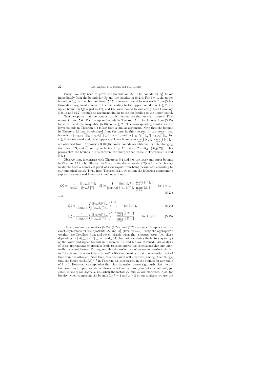*Proof.* We only need to prove the bounds for  $Q_{\theta}^{a}$ . The bounds for  $Q_{\theta}^{p}$  follow immediately from the bounds for  $Q_{\theta}^{a}$  and the equality in (5.21). For  $k = 1$ , the upper bound on  $Q_{\theta}^{a}$  can be obtained from (5.15); the lower bound follows easily from (5.14) through an argument similar to the one leading to the upper bound. For  $k \geq 2$ , the upper bound on  $Q_{\theta}^{a}$  is just (5.17), and the lower bound follows easily from Corollary 5.3(1.) and (5.2) through an argument similar to the one leading to the upper bound.

Next, we prove that the bounds in this theorem are sharper than those in Theorems 5.4 and 5.6. For the upper bounds in Theorem 5.4, this follows from (5.15) for  $k = 1$  and the inequality (5.18) for  $k \geq 2$ . The corresponding results for the lower bounds in Theorem 5.4 follow from a similar argument. Note that the bounds in Theorem 5.6 can be obtained from the ones in this theorem in two steps: first bounds on  $\|[\alpha_0, \beta_0]^T\|_1/\|[\gamma_0, \delta_0]^T\|_1$ , for  $k = 1$ , and on  $\|[\gamma_0, \delta_0]^T\|_{\infty}/\|[\alpha_0, \beta_0]^T\|_{\infty}$ , for  $k \geq 2$ , are obtained and, then, upper and lower bounds on  $\max_{i=0:k} \{||B_i||_2\} / \max_{i=0:k} \{||B_i||_2\}$ are obtained from Proposition 3.10 (the lower bounds are obtained by interchanging the roles of  $B_i$  and  $B_i$  and by replacing A by  $A^{-1}$ , since  $P = M_{A^{-1}}(M_A(P))$ . This proves that the bounds in this theorem are sharper than those in Theorems 5.4 and 5.6.  $\Box$ 

Observe that, in contrast with Theorems 5.4 and 5.6, the lower and upper bounds in Theorem 5.11 only differ by the *linear in the degree* constant  $2(k+1)$ , which is very moderate from a numerical point of view (apart from being pessimistic according to our numerical tests). Thus, from Theorem 5.11, we obtain the following approximate (up to the mentioned linear constant) equalities:

$$
Q_{\theta}^{a} \approx \frac{1}{|\det(A)|} \frac{\|[\alpha_{0}, \beta_{0}]^{T}\|_{1}}{\|[\gamma_{0}, \delta_{0}]^{T}\|_{1}}, \ Q_{\theta}^{p} \approx \frac{1}{|\det(A)|} \frac{\|[\alpha_{0}, \beta_{0}]^{T}\|_{1}}{\|[\gamma_{0}, \delta_{0}]^{T}\|_{1}} \frac{\max_{i=0:k} \{ \|B_{i}\|_{2} \}}{\max_{i=0:k} \{ \|B_{i}\|_{2} \}}, \quad \text{for } k = 1,
$$
\n(5.23)

and

$$
Q_{\theta}^{a} \approx \frac{1}{|\det(A)|} \left( \frac{\|[\gamma_0, \delta_0]^T\|_{\infty}}{\|[\alpha_0, \beta_0]^T\|_{\infty}} \right)^{k-2}, \quad \text{for } k \ge 2,
$$
\n(5.24)

$$
Q_{\theta}^{p} \approx \frac{1}{|\det(A)|} \left( \frac{\|[\gamma_{0}, \delta_{0}]^{T}\|_{\infty}}{\|[\alpha_{0}, \beta_{0}]^{T}\|_{\infty}} \right)^{k-2} \frac{\max\limits_{i=0:k} \{ \|\tilde{B}_{i}\|_{2} \}}{\max\limits_{i=0:k} \{ \|B_{i}\|_{2} \}}, \quad \text{for } k \ge 2.
$$
 (5.25)

The approximate equalities (5.23), (5.24), and (5.25) are much simpler than the exact expressions for the quotients  $Q_{\theta}^{a}$  and  $Q_{\theta}^{p}$  given by (5.2), using the appropriate weights (see Corollary 5.3), and reveal clearly when the *essential parts* (i.e., those depending on  $||A||_{\infty}$ ,  $||A^{-1}||_{\infty}$ , or cond<sub>∞</sub>(A), but not containing the factors  $S_k$  or  $Z_k$ ) of the lower and upper bounds in Theorems 5.4 and 5.6 are attained. An analysis of these approximate expressions leads to some interesting conclusions that are informally discussed below. Throughout this discussion, we often use expressions similar to "this bound is essentially attained" with the meaning that the essential part of that bound is attained. Note that, this discussion will illustrate, among other things, that the factor  $\text{cond}_{\infty}(A)^{k-1}$  in Theorem 5.6 is necessary in the bounds for any value of  $k \geq 2$ . However, we emphasize that this discussion proves rigorously that the actual lower and upper bounds in Theorems 5.4 and 5.6 are (almost) attained *only for* small values of the degree k, i.e., when the factors  $S_k$  and  $Z_k$  are moderate. Also, for brevity, when comparing the bounds for  $k = 1$  and  $k \geq 2$  in our analysis, we use the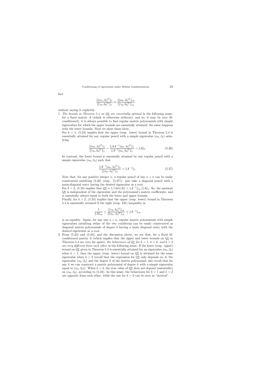fact

$$
\frac{\|[\alpha_0, \beta_0]^T\|_1}{\|[\gamma_0, \delta_0]^T\|_1} \approx \frac{\|[\alpha_0, \beta_0]^T\|_{\infty}}{\|[\gamma_0, \delta_0]^T\|_{\infty}}
$$

without saying it explicitly.

1. The bounds in Theorem 5.4 on  $Q_{\theta}^{a}$  are essentially optimal in the following sense: for a fixed matrix A (which is otherwise arbitrary, and so, it may be very illconditioned), it is always possible to find regular matrix polynomials with simple eigenvalues for which the upper bounds are essentially attained; the same happens with the lower bounds. Next we show these facts.

For  $k = 1$ , (5.23) implies that the upper (resp. lower) bound in Theorem 5.4 is essentially attained for any regular pencil with a simple eigenvalue  $(\alpha_0, \beta_0)$  satisfying

$$
\frac{\|[\alpha_0, \beta_0]^T\|_1}{\|[\gamma_0, \delta_0]^T\|_1} = \frac{\|AA^{-1}[\alpha_0, \beta_0]^T\|_1}{\|A^{-1}[\alpha_0, \beta_0]^T\|_1} = \|A\|_1.
$$
\n(5.26)

In contrast, the lower bound is essentially attained by any regular pencil with a simple eigenvalue  $(\alpha_0, \beta_0)$  such that

$$
\frac{\|A^{-1}[\alpha_0, \beta_0]^T\|_1}{\|[\alpha_0, \beta_0]^T\|_1} = \|A^{-1}\|_1.
$$
\n(5.27)

Note that, for any positive integer n, a regular pencil of size  $n \times n$  can be easily constructed satisfying (5.26) (resp. (5.27)): just take a diagonal pencil with a main-diagonal entry having the desired eigenvalue as a root.

For  $k = 2$ , (5.24) implies that  $Q_{\theta}^a \approx 1/|\det(A)| = ||A^{-1}||_{\infty}/||A||_1$ . So, the quotient  $Q_{\theta}^{a}$  is independent of the eigenvalue and the polynomial's matrix coefficients, and is essentially always equal to both the lower and upper bounds.

Finally, for  $k > 2$ , (5.24) implies that the upper (resp. lower) bound in Theorem 5.4 is essentially attained if the right (resp. left) inequality in

$$
\frac{1}{\|A\|_{\infty}} \le \frac{\|[\gamma_0,\delta_0]^T\|_{\infty}}{\|[\alpha_0,\beta_0]^T\|_{\infty}} \le \|A^{-1}\|_{\infty}
$$

is an equality. Again, for any size  $n \times n$ , regular matrix polynomials with simple eigenvalues satisfying either of the two conditions can be easily constructed as diagonal matrix polynomials of degree  $k$  having a main diagonal entry with the desired eigenvalue as a root.

2. From (5.23) and (5.24), and the discussion above, we see that, for a fixed illconditioned matrix A (which implies that the upper and lower bounds on  $Q_{\theta}^{a}$  in Theorem 5.4 are very far apart), the behaviours of  $Q_{\theta}^{a}$  for  $k = 1$ ,  $k = 2$ , and  $k > 2$ are very different from each other in the following sense: If the lower (resp. upper) bound on  $Q_\theta^a$  given in Theorem 5.4 is essentially attained for an eigenvalue  $(\alpha_0, \beta_0)$ when  $k = 1$ , then the upper (resp. lower) bound on  $Q_{\theta}^{a}$  is attained for the same eigenvalue when  $k > 2$  (recall that the expression for  $Q_{\theta}^{a}$  only depends on A, the eigenvalue  $(\alpha_0, \beta_0)$  and the degree k of the matrix polynomial; also recall that for any k we can construct a matrix polynomial of degree  $k$  with a simple eigenvalue equal to  $(\alpha_0, \beta_0)$ ). When  $k = 2$ , the true value of  $Q_{\theta}^a$  does not depend (essentially) on  $(\alpha_0, \beta_0)$ , according to (5.24). In this sense, the behaviours for  $k = 1$  and  $k > 2$ are opposite from each other, while the one for  $k = 2$  can be seen as "neutral".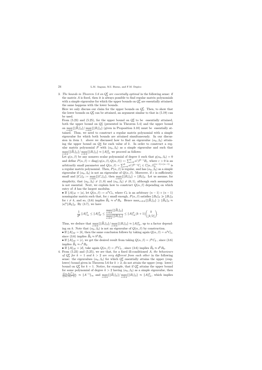3. The bounds in Theorem 5.6 on  $Q_{\theta}^{p}$  are essentially optimal in the following sense: if the matrix  $A$  is fixed, then it is always possible to find regular matrix polynomials with a simple eigenvalue for which the upper bounds on  $Q_{\theta}^{p}$  are essentially attained; the same happens with the lower bounds.

Here we only discuss our claim for the upper bounds on  $Q_{\theta}^{p}$ . Then, to show that the lower bounds on  $Q_{\theta}^{p}$  can be attained, an argument similar to that in (5.19) can be used.

From (5.23) and (5.25), for the upper bound on  $Q_{\theta}^{p}$  to be essentially attained, both the upper bound on  $Q_{\theta}^{a}$  (presented in Theorem 5.4) and the upper bound on  $\max_{i=0:k} \{||B_i||_2\} / \max_{i=0:k} \{||B_i||_2\}$  (given in Proposition 3.10) must be essentially attained. Thus, we need to construct a regular matrix polynomial with a simple eigenvalue for which both bounds are attained simultaneously. In our discussion in item 1. above we discussed how to find an eigenvalue  $(\alpha_0, \beta_0)$  attaining the upper bound on  $Q_{\theta}^{a}$  for each value of k. In order to construct a regular matrix polynomial P with  $(\alpha_0, \beta_0)$  as a simple eigenvalue and such that  $\max_{i=0:k} {\{\|B_i\|_2\}} / \max_{i=0:k} {\{\|B_i\|_2\}} \approx \|A\|_{\infty}^k$  we proceed as follows:

Let  $q(\alpha, \beta)$  be any nonzero scalar polynomial of degree k such that  $q(\alpha_0, \beta_0) = 0$ and define  $P(\alpha, \beta) = \text{diag}(\varepsilon q(\alpha, \beta), Q(\alpha, \beta)) =: \sum_{i=0}^{k} \alpha^{i} \beta^{k-i} B_i$ , where  $\varepsilon > 0$  is an arbitrarily small parameter and  $Q(\alpha, \beta) = \sum_{i=0}^{k} \alpha^{i} \beta^{k-i} C_i \in \mathbb{C}[\alpha, \beta]_k^{(n-1)\times(n-1)}$  $\sum_{k=1}^{(n-1)\times(n-1)}$  is a regular matrix polynomial. Then,  $P(\alpha, \beta)$  is regular, and has  $(\alpha_0, \beta_0)$  as a simple eigenvalue if  $(\alpha_0, \beta_0)$  is not an eigenvalue of  $Q(\alpha, \beta)$ . Moreover, if  $\varepsilon$  is sufficiently small and  $||C_{\ell}||_2 := \max_{i=0:k} \{||C_i||_2\}$ , then  $\max_{i=0:k} \{||B_i||_2\} = ||B_{\ell}||_2$ . Let us assume, for simplicity, that  $(\alpha_0, \beta_0) \neq (1, 0)$  and  $(\alpha_0, \beta_0) \neq (0, 1)$ , although such assumption is not essential. Next, we explain how to construct  $Q(\alpha, \beta)$  depending on which entry of A has the largest modulus.

• If  $||A||_M = |a|$ , let  $Q(\alpha, \beta) := \alpha^k C_k$ , where  $C_k$  is an arbitrary  $(n-1) \times (n-1)$ nonsingular matrix such that, for  $\varepsilon$  small enough,  $P(\alpha, \beta)$  satisfies  $||B_k||_2 \gg ||B_i||_2$ for  $i \neq k$ , and so, (3.6) implies  $B_k \approx a^k B_k$ . Hence  $\max_{i=0:k} {\{\Vert B_i \Vert_2\}} \geq {\Vert B_k \Vert_2} \approx$  $||a|^k ||B_k||_2$ . By (3.7), we have

$$
\frac{1}{2^k} ||A||_{\infty}^k \leq ||A||_M^k \leq \frac{\max_{i=0:k} \{ ||\widetilde{B}_i||_2 \}}{\max_{i=0:k} \{ ||B_i||_2 \}} \leq ||A||_{\infty}^k (k+1) {k \choose \lfloor k/2 \rfloor}.
$$

Thus, we deduce that  $\max_{i=0:k} \{||\tilde{B}_i||_2\}/\max_{i=0:k} \{||B_i||_2\} \approx ||A||_{\infty}^k$ , up to a factor depending on k. Note that  $(\alpha_0, \beta_0)$  is not an eigenvalue of  $Q(\alpha, \beta)$  by construction.

• If  $||A||_M = |b|$ , then the same conclusion follows by taking again  $Q(\alpha, \beta) = \alpha^k C_k$ , since (3.6) implies  $B_0 \approx b^k B_k$ .

• If  $||A||_M = |c|$ , we get the desired result from taking  $Q(\alpha, \beta) = \beta^k C_0$ , since (3.6) implies  $B_k \approx c^k B_0$ .

- If  $||A||_M = |d|$ , take again  $Q(\alpha, \beta) = \beta^k C_0$ , since (3.6) implies  $B_0 \approx d^k B_0$ .
- 4. From (5.23) and (5.25), we see that, for a fixed ill-conditioned A, the behaviours of  $Q_{\theta}^{p}$  for  $k = 1$  and  $k > 2$  are very different from each other in the following sense: the eigenvalues  $(\alpha_0, \beta_0)$  for which  $Q_\theta^p$  essentially attains the upper (resp. lower) bound given in Theorem 5.6 for  $k > 2$ , do not attain the upper (resp. lower) bound on  $Q_{\theta}^{p}$  for  $k=1$ . Notice, for example, that if  $Q_{\theta}^{p}$  attains the upper bound for some polynomial of degree  $k > 2$  having  $(\alpha_0, \beta_0)$  as a simple eigenvalue, then  $\|[\gamma_0,\delta_0]^T\|_{\infty}$  $\frac{\|[\cos\delta_0]^T\|_{\infty}}{\|[\cos\delta_0]^T\|_{\infty}} \approx \|A^{-1}\|_{\infty} \text{ and } \max_{i=0:k} {\{\|\tilde{B}_i\|_2\}} / \max_{i=0:k} {\{\|B_i\|_2\}} \approx \|A\|_{\infty}^k, \text{ which implies}$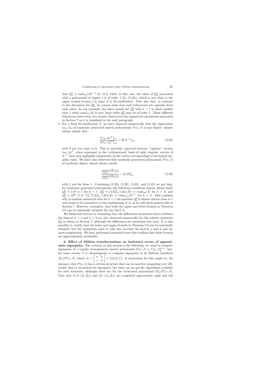that  $Q_{\theta}^{p} \approx \text{cond}_{\infty}(A)^{k-1}$  by (3.5) while, in this case, the value of  $Q_{\theta}^{p}$  associated with a polynomial of degree 1 is of order  $1$  (by  $(5.23)$ ), which is not close to the upper bound  $4 \text{ cond}_{\infty}(A)$  since A is ill-conditioned. Note also that, in contrast to the discussion for  $Q_{\theta}^a$ , we cannot state that such behaviours are opposite from each other. In our example, the lower bound for  $Q_{\theta}^{p}$  with  $k = 1$  is much smaller than 1 when  $\text{cond}_{\infty}(A)$  is very large while  $Q_{\theta}^{p}$  may be of order 1. These different behaviours have been very clearly observed in the numerical experiments presented in Section 7 as it is explained in the next paragraph.

5. For a fixed ill-conditioned A, we have observed numerically that the eigenvalues  $(\alpha_0, \beta_0)$  of randomly generated matrix polynomials  $P(\alpha, \beta)$  of any degree almost always satisfy that

$$
\frac{\|[\gamma_0, \delta_0]^T\|_{\infty}}{\|[\alpha_0, \beta_0]^T\|_{\infty}} = \theta \|A^{-1}\|_{\infty},
$$
\n(5.28)

with  $\theta$  not too close to 0. This is naturally expected because "random" vectors  $[\alpha_0, \beta_0]^T$ , when expressed in the (orthonormal) basis of right singular vectors of  $A^{-1}$ , have non-negligible components on the vector corresponding to the largest singular value. We have also observed that randomly generated polynomials  $P(\alpha, \beta)$ of moderate degree almost always satisfy

$$
\frac{\max\limits_{i=0:k} \{\|B_i\|_2\}}{\max\limits_{i=0:k} \{\|B_i\|_2\}} = \xi \|A\|_{\infty}^k,
$$
\n(5.29)

with  $\xi$  not far from 1. Combining (5.28), (5.29), (5.23), and (5.25) we get that, for randomly generated polynomials, the following conditions almost always hold:  $Q_{\theta}^{p} \approx \xi/\theta \approx 1$  for  $k = 1$ ;  $Q_{\theta}^{p} \approx \xi ||A||_{\infty}^{2}/|\det(A)| \approx \text{cond}_{\infty}(A)$  for  $k = 2$ ; and  $Q_{\theta}^{\nu} \approx \xi \theta^{k-2} \|A^{-1}\|_{\infty}^{k-2} \|A\|_{\infty}^{k}/|\det(A)| \approx \text{cond}_{\infty}(A)^{k-1}$  for  $k > 2$ . This explains why in random numerical tests for  $k = 1$  the quotient  $Q_{\theta}^{p}$  is almost always close to 1 and seems to be insensitive to the conditioning of A, as we will check numerically in Section 7. However, remember, that both the upper and lower bounds in Theorem 5.6 can be essentially attained for any fixed A.

We finish this section by remarking that the differences mentioned above between the degrees  $k = 1$  and  $k \geq 2$  are also observed numerically for the relative quotients  $Q_{\theta}^{r}$  as shown in Section 7, although the differences are somewhat less clear. It is also possible to justify that the lower and upper bounds in Theorem 5.9 can be essentially attained, but the arguments need to take into account the factors  $\rho$  and  $\tilde{\rho}$  and are more complicated. We have performed numerical tests that confirm that those bounds are approximately attainable.

6. Effect of Möbius transformations on backward errors of approximate eigenpairs. The scenario in this section is the following: we want to compute eigenpairs of a regular homogeneous matrix polynomial  $P(\alpha, \beta) \in \mathbb{C}[\alpha, \beta]_k^{n \times n}$ , but, for some reason, it is advantageous to compute eigenpairs of its Möbius transform  $M_A(P)(\gamma,\delta)$ , where  $A=\begin{bmatrix} a & b \\ c & d \end{bmatrix} \in GL(2,\mathbb{C})$ . A motivation for this might be, for instance, that  $P(\alpha, \beta)$  has a certain structure that can be used for computing very efficiently and/or accurately its eigenpairs, but there are no specific algorithms available for such structure, although there are for the structured polynomial  $M_A(P)(\gamma,\delta)$ . Note that if  $(\hat{x}, (\hat{\gamma}_0, \hat{\delta}_0))$  and  $(\hat{y}^*, (\hat{\gamma}_0, \hat{\delta}_0))$  are computed *approximate* right and left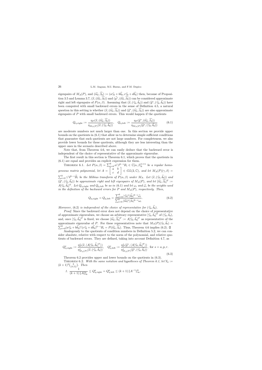eigenpairs of  $M_A(P)$ , and  $(\widehat{\alpha_0}, \widehat{\beta_0}) := (a\widehat{\gamma_0} + b\widehat{\delta_0}, c\widehat{\gamma_0} + d\widehat{\delta_0})$  then, because of Proposition 3.5 and Lemma 3.7,  $(\widehat{x}, (\widehat{\alpha_0}, \widehat{\beta_0}))$  and  $(\widehat{y^*}, (\widehat{\alpha_0}, \widehat{\beta_0}))$  can be considered approximate right and left eigenpairs of  $P(\alpha, \beta)$ . Assuming that  $(\hat{x}, (\hat{\gamma_0}, \hat{\delta_0}))$  and  $(\hat{y}^*, (\hat{\gamma_0}, \hat{\delta_0}))$  have<br>been computed with small backward errors in the sense of Definition 4.5, a natural been computed with small backward errors in the sense of Definition 4.5, a natural question in this setting is whether  $(\widehat{x}, (\widehat{\alpha_0}, \widehat{\beta_0}))$  and  $(\widehat{y}^*, (\widehat{\alpha_0}, \widehat{\beta_0}))$  are also approximate<br>eigennairs of P with small backward errors. This would hannen if the quotients eigenpairs of  $P$  with small backward errors. This would happen if the quotients

$$
Q_{\eta,\text{right}} := \frac{\eta_P(\widehat{x}, (\widehat{\alpha_0}, \widehat{\beta_0}))}{\eta_{M_A(P)}(\widehat{x}, (\widehat{\gamma_0}, \widehat{\delta_0}))}, \quad Q_{\eta,\text{left}} := \frac{\eta_P(\widehat{y}^*, (\widehat{\alpha_0}, \widehat{\beta_0}))}{\eta_{M_A(P)}(\widehat{y}^*, (\widehat{\gamma_0}, \widehat{\delta_0}))}
$$
(6.1)

are moderate numbers not much larger than one. In this section we provide upper bounds on the quotients in (6.1) that allow us to determine simple sufficient conditions that guarantee that such quotients are not large numbers. For completeness, we also provide lower bounds for these quotients, although they are less interesting than the upper ones in the scenario described above.

Note that, from Theorem 4.6, we can easily deduce that the backward error is independent of the choice of representative of the approximate eigenvalue.

The first result in this section is Theorem 6.1, which proves that the quotients in (6.1) are equal and provides an explicit expression for them.

THEOREM 6.1. Let  $P(\alpha, \beta) = \sum_{i=0}^{k} \alpha^{i} \beta^{k-i} B_i \in \mathbb{C}[\alpha, \beta]_k^{n \times n}$  be a regular homogeneous matrix polynomial, let  $A = \begin{bmatrix} a & b \\ c & d \end{bmatrix} \in GL(2, \mathbb{C})$ , and let  $M_A(P)(\gamma, \delta) =$  $\sum_{i=0}^{k} \gamma^{i} \delta^{k-i} \widetilde{B}_{i}$  be the Möbius transform of  $P(\alpha, \beta)$  under  $M_A$ . Let  $(\widehat{x}, (\widehat{\gamma_0}, \widehat{\delta_0}))$  and  $(\widehat{y}^*,(\widehat{\gamma}_0,\widehat{\delta}_0))$  be approximate right and left eigenpairs of  $M_A(P)$ , and let  $[\widehat{\alpha}_0,\widehat{\beta}_0]^T :=$ <br> $A[\widehat{\gamma},\widehat{\gamma}]^T$ . Let  $Q$  and  $Q$  be as in (6.1) and let use of  $\widetilde{\gamma}$  be the unsistence  $A[\hat{\gamma}_0, \hat{\delta}_0]^T$ . Let  $Q_{\eta, \text{right}}$  and  $Q_{\eta, \text{left}}$  be as in (6.1) and let  $\omega_i$  and  $\tilde{\omega}_i$  be the weights used<br>in the definition of the hackward errors for P and M (P) reconctively. Then in the definition of the backward errors for P and  $M_A(P)$ , respectively. Then,

$$
Q_{\eta, \text{right}} = Q_{\eta, \text{left}} = \frac{\sum_{i=0}^{k} |\widehat{\gamma_0}|^i |\widehat{\delta_0}|^{k-i} \widetilde{\omega_i}}{\sum_{i=0}^{k} |\widehat{\alpha_0}|^i |\widehat{\beta_0}|^{k-i} \omega_i}.
$$
\n(6.2)

Moreover, (6.2) is independent of the choice of representative for  $(\hat{\gamma}_0, \hat{\delta}_0)$ .

Proof. Since the backward error does not depend on the choice of representative of approximate eigenvalues, we choose an arbitrary representative  $[\hat{\gamma}_0, \hat{\delta}_0]^T$  of  $(\hat{\gamma}_0, \hat{\delta}_0)$ , and, once  $[\hat{\gamma}_0, \hat{\delta}_0]^T$  is fixed, we choose  $[\hat{\alpha}_0, \hat{\beta}_0]^T := A[\hat{\gamma}_0, \hat{\delta}_0]^T$  as representative of the approximate eigenvalue of P. For these representatives note that  $M_A(P)(\hat{\gamma_0}, \hat{\delta_0}) =$  $\sum_{i=0}^{k} (a\hat{\gamma_0} + b\hat{\delta_0})^i (c\hat{\gamma_0} + d\hat{\delta_0})^{k-i} B_i = P(\widehat{\alpha_0}, \widehat{\beta_0}).$  Thus, Theorem 4.6 implies (6.2).

Analogously to the quotients of condition numbers in Definition 5.2, we can consider absolute, relative with respect to the norm of the polynomial, and relative quotients of backward errors. They are defined, taking into account Definition 4.7, as

$$
Q_{\eta,\text{right}}^s := \frac{\eta_P^s(\widehat{x}, \langle A[\widehat{\gamma_0}, \widehat{\delta_0}]^T \rangle)}{\eta_{MA(P)}^s(\widehat{x}, (\widehat{\gamma_0}, \widehat{\delta_0}))}, \quad Q_{\eta,\text{left}}^s := \frac{\eta_P^s(\widehat{y}^*, \langle A[\widehat{\gamma_0}, \widehat{\delta_0}]^T \rangle)}{\eta_{MA(P)}^s(\widehat{y}^*, (\widehat{\gamma_0}, \widehat{\delta_0}))}, \text{ for } s = a, p, r. \tag{6.3}
$$

Theorem 6.2 provides upper and lower bounds on the quotients in (6.3). THEOREM 6.2. With the same notation and hypotheses of Theorem 6.1, let  $Y_k :=$  $(k+1)^2 {k \choose \lfloor k/2 \rfloor}$ . Then

1. 
$$
\frac{1}{(k+1)\|A\|_{\infty}^k} \leq Q_{\eta,\text{right}}^a = Q_{\eta,\text{left}}^a \leq (k+1)\|A^{-1}\|_{\infty}^k.
$$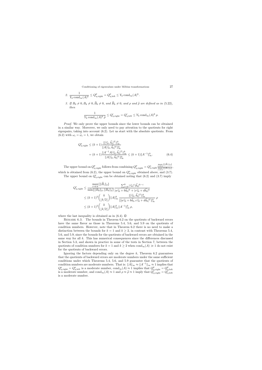Conditioning of eigenvalues under Möbius transformations 27

- 2.  $\frac{1}{\sqrt{11}}$  $\frac{1}{Y_k \operatorname{cond}_{\infty}(A)^k} \leq Q_{\eta,\text{right}}^p = Q_{\eta,\text{left}}^p \leq Y_k \operatorname{cond}_{\infty}(A)^k.$
- 3. If  $B_0 \neq 0, B_k \neq 0, \widetilde{B}_0 \neq 0$ , and  $\widetilde{B}_k \neq 0$ , and  $\rho$  and  $\widetilde{\rho}$  are defined as in (5.22), then

$$
\frac{1}{Y_k \operatorname{cond}_{\infty}(A)^k \widetilde{\rho}} \le Q_{\eta, \text{right}}^r = Q_{\eta, \text{left}}^r \le Y_k \operatorname{cond}_{\infty}(A)^k \rho.
$$

Proof. We only prove the upper bounds since the lower bounds can be obtained in a similar way. Moreover, we only need to pay attention to the quotients for right eigenpairs, taking into account (6.2). Let us start with the absolute quotients. From (6.2) with  $\omega_i = \tilde{\omega}_i = 1$ , we obtain

$$
Q_{\eta, \text{right}}^{a} \le (k+1) \frac{\|[\hat{\gamma}_{0}, \hat{\delta}_{0}]^{T}\|_{\infty}^{k}}{\|A[\hat{\gamma}_{0}, \hat{\delta}_{0}]^{T}\|_{\infty}^{k}}
$$
  
=  $(k+1) \frac{\|A^{-1}A[\hat{\gamma}_{0}, \hat{\delta}_{0}]^{T}\|_{\infty}^{k}}{\|A[\hat{\gamma}_{0}, \hat{\delta}_{0}]^{T}\|_{\infty}^{k}} \le (k+1) \|A^{-1}\|_{\infty}^{k}.$  (6.4)

The upper bound on  $Q_{\eta,\text{right}}^p$  follows from combining  $Q_{\eta,\text{right}}^p = Q_{\eta,\text{right}}^a$  $\max_{i=0:k} \{||B_i||_2\}$  $\frac{\sum_{i=0:k}^{i=0:k} \sum_{i=0:k}^{k}}{\max_{i=0:k} \{||B_i||_2\}},$ which is obtained from (6.2), the upper bound on  $Q_{\eta,\text{right}}^a$  obtained above, and (3.7).

The upper bound on 
$$
Q_{\eta,\text{right}}^r
$$
 can be obtained noting that (6.2) and (3.7) imply

$$
Q_{\eta,\text{right}}^r \leq \frac{\max_{i=0:k} \{ \|B_i\|_2\}}{\min\{\|B_0\|_2, \|B_k\|_2\}} \frac{\sum_{i=0}^k |\widehat{\gamma_0}|^i |\widehat{\delta_0}|^{k-i}}{|a\widehat{\gamma_0} + b\widehat{\delta_0}|^k + |c\widehat{\gamma_0} + d\widehat{\delta_0}|^k}
$$
  

$$
\leq (k+1)^2 {k \choose \lfloor k/2 \rfloor} \|A\|_{\infty}^k \frac{\|[\widehat{\gamma_0}, \widehat{\delta_0}]^T\|_{\infty}^k}{\| [a\widehat{\gamma_0} + b\widehat{\delta_0}, c\widehat{\gamma_0} + d\widehat{\delta_0}]^T\|_{\infty}^k} \rho
$$
  

$$
\leq (k+1)^2 {k \choose \lfloor k/2 \rfloor} \|A\|_{\infty}^k \|A^{-1}\|_{\infty}^k \rho,
$$

where the last inequality is obtained as in  $(6.4)$ .  $\Box$ 

REMARK 6.3. The bounds in Theorem 6.2 on the quotients of backward errors have the same flavor as those in Theorems 5.4, 5.6, and 5.9 on the quotients of condition numbers. However, note that in Theorem 6.2 there is no need to make a distinction between the bounds for  $k = 1$  and  $k \geq 2$ , in contrast with Theorems 5.4, 5.6, and 5.9, since the bounds for the quotients of backward errors are obtained in the same way for all  $k$ . This has numerical consequences since the differences discussed in Section 5.3, and shown in practice in some of the tests in Section 7, between the quotients of condition numbers for  $k = 1$  and  $k \geq 2$  when  $\text{cond}_{\infty}(A) \gg 1$  do not exist for the quotients of backward errors.

Ignoring the factors depending only on the degree  $k$ , Theorem 6.2 guarantees that the quotients of backward errors are moderate numbers under the same sufficient conditions under which Theorems 5.4, 5.6, and 5.9 guarantee that the quotients of condition numbers are moderate numbers. That is:  $||A||_{\infty} \approx ||A^{-1}||_{\infty} \approx 1$  implies that  $Q_{\eta,\text{right}}^a = Q_{\eta,\text{left}}^a$  is a moderate number,  $\text{cond}_{\infty}(A) \approx 1$  and  $\rho \approx \tilde{\rho} \approx 1$  implies that  $Q_{\eta,\text{right}}^p = Q_{\eta,\text{left}}^p$  is a moderate number, and  $\text{cond}_{\infty}(A) \approx 1$  and  $\rho \approx \tilde{\rho} \approx 1$  imply that  $Q_{\eta,\text{right}}^p = Q_{\eta,\text$ is a moderate number.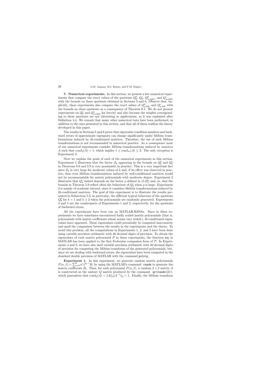7. Numerical experiments. In this section, we present a few numerical experiments that compare the exact values of the quotients  $Q_{\theta}^p$ ,  $Q_{\theta}^r$ ,  $Q_{\eta, \text{right}}^p$ , and  $Q_{\eta, \text{right}}^r$ with the bounds on these quotients obtained in Sections 5 and 6. Observe that, implicitly, these experiments also compare the exact values of  $Q_{\eta,\text{left}}^p$  and  $Q_{\eta,\text{left}}^r$  with the bounds on these quotients as a consequence of Theorem 6.1. We do not present experiments on  $Q_{\theta}^{a}$  and  $Q_{\eta, \text{right}}^{a}$  for brevity and also because the weights corresponding to these quotients are not interesting in applications, as it was explained after Definition 4.4. We remark that many other numerical tests have been performed, in addition to the ones presented in this section, and that all of them confirm the theory developed in this paper.

The results in Sections 5 and 6 prove that eigenvalue condition numbers and backward errors of approximate eigenpairs can change significantly under Möbius transformations induced by ill-conditioned matrices. Therefore, the use of such Möbius transformations is not recommended in numerical practice. As a consequence most of our numerical experiments consider M¨obius transformations induced by matrices A such that  $\text{cond}_2(A) = 1$ , which implies  $1 \leq \text{cond}_{\infty}(A) \leq 2$ . The only exception is Experiment 3.

Next we explain the goals of each of the numerical experiments in this section. Experiment 1 illustrates that the factor  $Z_k$  appearing in the bounds on  $Q_\theta^p$  and  $Q_\theta^r$ in Theorems 5.6 and 5.9 is very pessimistic in practice. This is a very important fact since  $Z_k$  is very large for moderate values of k and, if its effect was observed in practice, then even Möbius transformations induced by well-conditioned matrices would not be recommendable for matrix polynomials with moderate degree. Experiment 2 illustrates that  $Q_{\theta}^{r}$  indeed depends on the factor  $\rho$  defined in (5.22) and, so, that the bounds in Theorem 5.9 reflect often the behaviour of  $Q_{\theta}^{r}$  when  $\rho$  is large. Experiment 3 is mainly of academic interest, since it considers Möbius transformations induced by ill-conditioned matrices. The goal of this experiment is to illustrate the results presented in Subsection 5.3, in particular, the different typical behaviors of the quotients  $Q_{\theta}^{p}$  for  $k = 1$  and  $k \geq 2$  when the polynomials are randomly generated. Experiments 4 and 5 are the counterparts of Experiments 1 and 2, respectively, for the quotients of backward errors.

All the experiments have been run on MATLAB-R2018a. Since in these experiments we have sometimes encountered badly scaled matrix polynomials (that is, polynomials with matrix coefficients whose norms vary widely), ill-conditioned eigenvalues have appeared. These eigenvalues could potentially be computed inaccurately and spoil the comparison between the results in the experiments and the theory. To avoid this problem, all the computations in Experiments 1, 2, and 3 have been done using variable precision arithmetic with 40 decimal digits of precision. To obtain the eigenvalues of each matrix polynomial  $P$  in these experiments, the function eig in MATLAB has been applied to the first Frobenius companion form of P. In Experiments 4 and 5, we have also used variable precision arithmetic with 40 decimal digits of precision for computing the M¨obius transforms of the generated polynomials, but, since we are dealing with backward errors, the eigenvalues have been computed in the standard double precision of MATLAB with the command polyeig.

Experiment 1. In this experiment, we generate random matrix polynomials  $P(\alpha, \beta) = \sum_{i=0}^{k} \alpha^{i} \beta^{k-i} B_i$  by using the MATLAB's command randn to generate the matrix coefficents  $B_i$ . Then, for each polynomial  $P(\alpha, \beta)$ , a random  $2 \times 2$  matrix A is constructed as the unitary  $Q$  matrix produced by the command  $qr(randn(2)),$ which guarantees that  $\text{cond}_2(A) = ||A||_2 ||A^{-1}||_2 = 1$ . Finally, the Möbius transform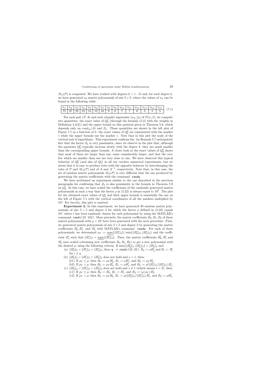$M_A(P)$  is computed. We have worked with degrees  $k = 1 : 15$  and, for each degree k, we have generated  $n_k$  matrix polynomials of size  $5 \times 5$ , where the values of  $n_k$  can be found in the following table:

| $n_1$ | $n_2$                                             | $n_3$ | $n_4$ | $n_{5}$ | $n_6$ | $n_7$ | $n_8$ | $n_{9}$ | $n_{10}$ | $n_{11}$   $n_{12}$ | $n_{13}$ | $n_{14}$ | $n_{15}$ |         |
|-------|---------------------------------------------------|-------|-------|---------|-------|-------|-------|---------|----------|---------------------|----------|----------|----------|---------|
| 175   | $\mid 37 \mid 25 \mid 18 \mid 15 \mid 12 \mid 10$ |       |       |         |       |       | 9     |         |          |                     |          |          |          | $\cdot$ |

For each pair  $(P, A)$  and each (simple) eigenvalue  $(\alpha_0, \beta_0)$  of  $P(\alpha, \beta)$ , we compute two quantities: the exact value of  $Q_{\theta}^{p}$  (through the formula (5.2) with the weights in Definition  $4.4(2)$ ) and the upper bound on this quotient given in Theorem 5.6, which depends only on  $\text{cond}_{\infty}(A)$  and  $Z_k$ . These quantities are shown in the left plot of Figure 7.1 as a function of k: the exact values of  $Q_{\theta}^{p}$  are represented with the marker ∗ while the upper bounds use the marker ◦. Note that in this plot the scale of the vertical axis is logarithmic. This experiment confirms the (in Remark 5.7 anticipated) fact that the factor  $Z_k$  is very pessimistic, since we observe in the plot that, although the quotients  $Q_{\theta}^{p}$  typically increase slowly with the degree k, they are much smaller than the corresponding upper bounds. A closer look at the exact values of  $Q_{\theta}^{p}$  shows that most of them are larger than one, some considerably larger, and that the very few which are smaller than one are very close to one. We have observed this typical behavior of  $Q_{\theta}^{p}$  (and also of  $Q_{\theta}^{r}$ ) in all our *random* numerical experiments, but we stress that it is easy to produce tests with the opposite behavior by interchanging the roles of P and  $M_A(P)$  and of A and  $A^{-1}$ , respectively. Note that, in this case, the set of random matrix polynomials  $M_A(P)$  is very different that the one produced by generating the matrix coefficients with the command randn.

We have performed an experiment similar to the one described in the previous paragraphs for confirming that  $Z_k$  is also pessimistic in the bounds in Theorem 5.9 on  $Q_{\theta}^{r}$ . In this case, we have scaled the coefficients of the randomly generated matrix polynomials in such a way that the factor  $\rho$  in (5.22) is always equal to  $10^3$ . The plot for the obtained exact values of  $Q_{\theta}^{r}$  and their upper bounds is essentially the one on the left of Figure 7.1 with the vertical coordinates of all the markers multiplied by 10<sup>3</sup> . For brevity, this plot is omitted.

Experiment 2. In this experiment, we have generated 30 random matrix polynomials of size  $5 \times 5$  and degree 2 for which the factor  $\rho$  defined in (5.22) equals  $10<sup>t</sup>$ , where t has been randomly chosen for each polynomial by using the MATLAB's command randi([0 10]). More precisely, the matrix coefficients  $B_0, B_1, B_2$  of these matrix polynomials with  $\rho = 10^t$  have been generated with the next procedure. First, we generated matrix polynomials of size  $5 \times 5$  and degree 2 by generating the matrix coefficients  $B'_0, B'_1$ , and  $B'_2$  with MATLAB's command randn. For each of these polynomials, we determined  $\rho_T := \max_{i=0:2} \{ ||B'_i||_2 \} / \min \{ ||B'_0||_2, ||B'_2||_2 \}$  and the coefficient  $B'_s$  such that  $||B'_s||_2 = \max_{i=0,2} {||B'_i||_2}$ . Then, the matrix coefficients  $B'_0, B'_1$  and  $B'_{2}$  were scaled (obtaining new coefficients  $B_{0}, B_{1}, B_{2}$ ) to get a new polynomial with the desired  $\rho$ , using the following criteria: If  $\min\{\|B_0'\|_2, \|B_2'\|_2\} = \|B_0'\|_2$  and

- (a)  $||B'_0||_2 = ||B'_1||_2 = ||B'_2||_2$ , then **q** := **randi**([0 2]),  $B_q := \rho B'_q$  and  $B_i := B'_i$ for  $i \neq q$ .
- (b)  $||B'_0||_2 = ||B'_1||_2 = ||B'_2||_2$  does not hold and  $s = 1$ , then:
	- (b1) If  $\rho_T \le \rho$ , then  $B_0 := \rho_T B'_0$ ,  $B_1 := \rho B'_1$ , and  $B_2 := \rho_T B'_2$ .
- (b2) If  $\rho_T > \rho$ , then  $B_0 := \rho_T B'_0$ ,  $B_1 := \rho B'_1$ , and  $B_2 := \rho(\|B'_1\|_2 / \|B'_2\|_2) B'_2$ . (c)  $||B'_0||_2 = ||B'_1||_2 = ||B'_2||_2$  does not hold and  $s \neq 1$  (which means  $s = 2$ ), then: (c1) If  $\rho_T \le \rho$ , then  $B_0 := B'_0$ ,  $B_1 := B'_1$ , and  $B_2 := (\rho/\rho_T) B'_2$ .
	- (c2) If  $\rho_T > \rho$ , then  $B_0 := \rho_T B'_0$ ,  $B_1 := \rho(\|B'_2\|_2 / \|B'_1\|_2) B'_1$ , and  $B_2 := \rho B'_2$ .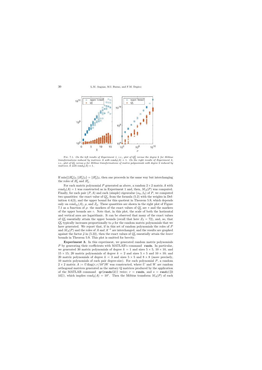

FIG. 7.1. On the left results of Experiment 1, i.e., plot of  $Q_{\theta}^{p}$  versus the degree k for Möbius transformations induced by matrices A with  $\text{cond}_2(A) = 1$ . On the right results of Experiment 2, *i.e.*, plot of  $Q_{\theta}^{r}$  versus  $\rho$  for Möbius transformations of matrix polynomials with degree 2 induced by matrices A with  $\text{cond}_2(A) = 1$ .

If  $\min\{\|B_0'\|_2, \|B_2'\|_2\} = \|B_2'\|_2$ , then one proceeds in the same way but interchanging the roles of  $B'_0$  and  $B'_2$ .

For each matrix polynomial P generated as above, a random  $2 \times 2$  matrix A with  $\text{cond}_2(A) = 1$  was constructed as in Experiment 1 and, then,  $M_A(P)$  was computed. Finally, for each pair  $(P, A)$  and each (simple) eigenvalue  $(\alpha_0, \beta_0)$  of P, we computed two quantities: the exact value of  $Q_{\theta}^{r}$ , from the formula (5.2) with the weights in Definition 4.4(3), and the upper bound for this quotient in Theorem 5.9, which depends only on  $\text{cond}_{\infty}(A)$ ,  $\rho$ , and  $Z_2$ . These quantities are shown in the right plot of Figure 7.1 as a function of  $\rho$ : the markers of the exact values of  $Q_{\theta}^{r}$  are  $*$  and the markers of the upper bounds are ◦. Note that, in this plot, the scale of both the horizontal and vertical axes are logarithmic. It can be observed that many of the exact values of  $Q_{\theta}^{r}$  essentially attain the upper bounds (recall that here  $Z_{2} = 72$ ), and, so, that  $Q_{\theta}^{r}$  typically increases proportionally to  $\rho$  for the random matrix polynomials that we have generated. We report that, if in this set of random polynomials the roles of P and  $M_A(P)$  and the roles of A and  $A^{-1}$  are interchanged, and the results are graphed against the factor  $\tilde{\rho}$  in (5.22), then the exact values of  $Q_{\theta}^{r}$  essentially attain the lower<br>bounds in Theorem 5.9. This plot is emitted for broughty bounds in Theorem 5.9. This plot is omitted for brevity.

Experiment 3. In this experiment, we generated random matrix polynomials P by generating their coefficients with MATLAB's command randn. In particular, we generated 30 matrix polynomials of degree  $k = 1$  and sizes  $5 \times 5$ ,  $10 \times 10$ , and  $15 \times 15$ ; 20 matrix polynomials of degree  $k = 2$  and sizes  $5 \times 5$  and  $10 \times 10$ ; and 20 matrix polynomials of degree  $k = 3$  and sizes  $5 \times 5$  and  $8 \times 8$  (more precisely, 10 matrix polynomials of each pair degree-size). For each polynomial P, a random  $2 \times 2$  matrix  $A := U \text{diag}(r, r/10^s)W$  was constructed, where U and W are random orthogonal matrices generated as the unitary Q matrices produced by the application of the MATLAB command  $qr(randn(2))$  twice;  $r = randn$ , and  $s = randi( [0]$ 10]), which implies  $\text{cond}_2(A) = 10^s$ . Then the Möbius transform  $M_A(P)$  of each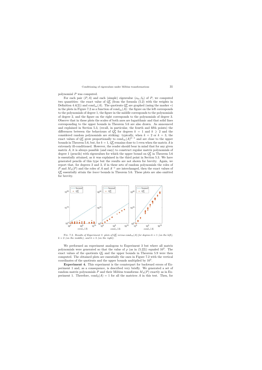polynomial P was computed.

For each pair  $(P, A)$  and each (simple) eigenvalue  $(\alpha_0, \beta_0)$  of P, we computed two quantities: the exact value of  $Q_{\theta}^{p}$  (from the formula (5.2) with the weights in Definition 4.4(2)) and  $\text{cond}_{\infty}(A)$ . The quotients  $Q_{\theta}^{p}$  are graphed (using the marker  $\ast$ ) in the plots in Figure 7.2 as a function of  $\text{cond}_{\infty}(A)$ : the figure on the left corresponds to the polynomials of degree 1, the figure in the middle corresponds to the polynomials of degree 2, and the figure on the right corresponds to the polynomials of degree 3. Observe that in these plots the scales of both axes are logarithmic and that solid lines corresponding to the upper bounds in Theorem 5.6 are also drawn. As announced and explained in Section 5.3, (recall, in particular, the fourth and fifth points) the differences between the behaviours of  $Q_{\theta}^{p}$  for degrees  $k = 1$  and  $k \geq 2$  and the considered random polynomials are striking: typically, when  $k = 2$  or  $k = 3$ , the exact values of  $Q_{\theta}^{p}$  grow proportionally to  $\text{cond}_{\infty}(A)^{k-1}$  and are close to the upper bounds in Theorem 5.6, but, for  $k = 1$ ,  $Q_{\theta}^{p}$  remains close to 1 even when the matrix A is extremely ill-conditioned. However, the reader should bear in mind that for any given matrix A, it is always possible (and easy) to construct regular matrix polynomials of degree 1 (pencils) with eigenvalues for which the upper bound on  $Q_{\theta}^{p}$  in Theorem 5.6 is essentially attained, as it was explained in the third point in Section 5.3. We have generated pencils of this type but the results are not shown for brevity. Again, we report that, for degrees 2 and 3, if in these sets of random polynomials the roles of P and  $M_A(P)$  and the roles of A and  $A^{-1}$  are interchanged, then the exact values of  $Q_{\theta}^{p}$  essentially attain the *lower* bounds in Theorem 5.6. These plots are also omitted for brevity.



FIG. 7.2. Results of Experiment 3: plots of  $Q_{\theta}^{p}$  versus  $\text{cond}_{\infty}(A)$  for degrees  $k = 1$  (on the left),  $k = 2$  (on the middle), and  $k = 3$  (on the right).

We performed an experiment analogous to Experiment 3 but where all matrix polynomials were generated so that the value of  $\rho$  (as in (5.22)) equaled 10<sup>3</sup>. The exact values of the quotients  $Q_{\theta}^{r}$  and the upper bounds in Theorem 5.9 were then computed. The obtained plots are essentially the ones in Figure 7.2 with the vertical coordinates of the quotients and the upper bounds multiplied by  $10<sup>3</sup>$ .

Experiment 4. This experiment is the counterpart for backward errors of Experiment 1 and, as a consequence, is described very briefly. We generated a set of random matrix polynomials P and their Möbius transforms  $M_A(P)$  exactly as in Experiment 1. Therefore,  $\text{cond}_2(A) = 1$  for all the matrices A in this test. Then, for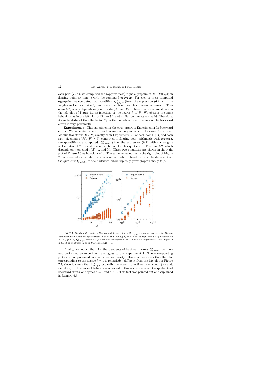each pair  $(P, A)$ , we computed the (approximate) right eigenpairs of  $M_A(P)(\gamma, \delta)$  in floating point arithmetic with the command polyeig. For each of these computed eigenpairs, we computed two quantities:  $Q_{\eta,\text{right}}^p$  (from the expression (6.2) with the weights in Definition  $4.7(2)$ ) and the upper bound on this quotient obtained in Theorem 6.2, which depends only on  $\text{cond}_{\infty}(A)$  and  $Y_k$ . These quantities are shown in the left plot of Figure 7.3 as functions of the degree  $k$  of  $P$ . We observe the same behaviour as in the left plot of Figure 7.1 and similar comments are valid. Therefore, it can be deduced that the factor  $Y_k$  in the bounds on the quotients of the backward errors is very pessimistic.

Experiment 5. This experiment is the counterpart of Experiment 2 for backward errors. We generated a set of random matrix polynomials  $P$  of degree 2 and their Möbius transforms  $M_A(P)$  exactly as in Experiment 2. For each pair  $(P, A)$  and each right eigenpair of  $M_A(P)(\gamma, \delta)$ , computed in floating point arithmetic with polyeig, two quantities are computed:  $Q_{\eta,\text{right}}^r$  (from the expression (6.2) with the weights in Definition 4.7(3)) and the upper bound for this quotient in Theorem 6.2, which depends only on  $\text{cond}_{\infty}(A)$ ,  $\rho$ , and  $Y_2$ . These two quantities are shown in the right plot of Figure 7.3 as functions of  $\rho$ . The same behaviour as in the right plot of Figure 7.1 is observed and similar comments remain valid. Therefore, it can be deduced that the quotients  $Q_{\eta,\text{right}}^r$  of the backward errors typically grow proportionally to  $\rho$ .



FIG. 7.3. On the left results of Experiment 4, i.e., plot of  $Q_{\eta,\text{right}}^p$  versus the degree k for Möbius transformations induced by matrices A such that  $\text{cond}_2(A) = 1$ . On the right results of Experiment 5, i.e., plot of  $Q_{\eta, \text{right}}^r$  versus  $\rho$  for Möbius transformations of matrix polynomials with degree 2 induced by matrices  $\ddot{A}$  such that  $\text{cond}_2(A) = 1$ .

Finally, we report that, for the quotients of backward errors  $Q_{\eta,\text{right}}^p$ , we have also performed an experiment analogous to the Experiment 3. The corresponding plots are not presented in this paper for brevity. However, we stress that the plot corresponding to the degree  $k = 1$  is remarkably different from the left plot in Figure 7.2, since it shows that  $Q_{\eta,\text{right}}^p$  typically increases proportionally to  $\text{cond}_{\infty}(A)$  and, therefore, no difference of behavior is observed in this respect between the quotients of backward errors for degrees  $k = 1$  and  $k \geq 2$ . This fact was pointed out and explained in Remark 6.3.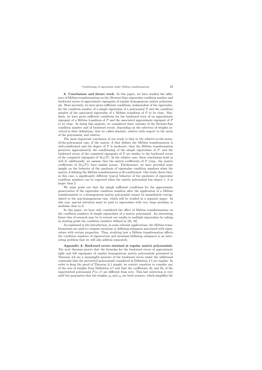8. Conclusions and future work. In this paper, we have studied the influence of Möbius transformations on the (Stewart-Sun) eigenvalue condition number and backward errors of approximate eigenpairs of regular homogeneous matrix polynomials. More precisely, we have given sufficient conditions, independent of the eigenvalue, for the condition number of a simple eigenvalue of a polynomial  $P$  and the condition number of the associated eigenvalue of a Möbius transform of  $P$  to be close. Similarly, we have given sufficient conditions for the backward error of an approximate eigenpair of a Möbius transform of  $P$  and the associated approximate eigenpair of  $P$ to be close. In doing this analysis, we considered three variants of the Stewart-Sun condition number and of backward errors, depending on the selection of weights involved in their definitions, that we called absolute, relative with respect to the norm of the polynomial, and relative.

The most important conclusion of our study is that in the relative-to-the-normof-the-polynomial case, if the matrix  $A$  that defines the Möbius transformation is well-conditioned and the degree of  $P$  is moderate, then the Möbius transformation preserves approximately the conditioning of the simple eigenvalues of  $P$ , and the backward errors of the computed eigenpairs of P are similar to the backward errors of the computed eigenpairs of  $M_A(P)$ . In the relative case, these conclusions hold as well if, additionally, we assume that the matrix coefficients of  $P$  (resp., the matrix coefficients of  $M_A(P)$  have similar norms. Furthermore, we have provided some insight on the behavior of the quotients of eigenvalue condition numbers when the matrix  $\vec{A}$  defining the Möbius transformation is ill-conditioned. Our study shows that, in this case, a significantly different typical behavior of the quotients of eigenvalue condition numbers can be expected when the matrix polynomial has degree 1, 2 or larger than 2.

We must point out that the simple sufficient conditions for the approximate preservation of the eigenvalue condition numbers after the application of a Möbius transformation to a homogeneous matrix polynomial cannot be immediately extrapolated to the non-homogeneous case, which will be studied in a separate paper. In this case, special attention must be paid to eigenvalues with very large modulus or modulus close to 0.

In this paper, we have only considered the effect of Möbius transformations on the condition numbers of simple eigenvalues of a matrix polynomial. An interesting future line of research may be to extend our results to multiple eigenvalues by taking as starting point the condition numbers defined in [23, 33].

As explained in the introduction, in some relevant applications, the Möbius transformations are used to compute invariant or deflating subspaces associated with eigenvalues with certain properties. Thus, studying how a Möbius transformation affects the condition numbers of eigenvectors and invariant/deflating subspaces is an interesting problem that we will also address separately.

Appendix A. Backward errors attained at regular matrix polynomials. The next theorem proves that the formulas for the backward errors of approximate right and left eigenpairs of regular homogeneous matrix polynomials presented in Theorem 4.6 are a meaningful measure of the backward errors under the additional constraint that the perturbed polynomials considered in Definition 4.5 are regular. In order to keep the proof of Theorem A.1 simple, we restrict ourselves to consider any of the sets of weights from Definition 4.7 and that the coefficients  $B_0$  and  $B_k$  of the unperturbed polynomial  $P(\alpha, \beta)$  are different from zero. This last restriction is very mild but guarantees that the weights  $\omega_0$  and  $\omega_k$  are both nonzero, which simplifies the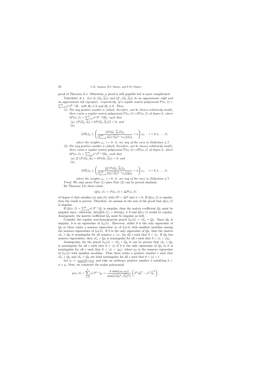proof of Theorem A.1. Otherwise, a proof is still possible but is more complicated.

THEOREM A.1. Let  $(\widehat{x}, (\widehat{\alpha_0}, \widehat{\beta_0}))$  and  $(\widehat{y}^*, (\widehat{\alpha_0}, \widehat{\beta_0}))$  be an approximate right and<br>nonproximate left eigennair, respectively, of a regular matrix polynomial  $P(\alpha, \beta)$ an approximate left eigenpair, respectively, of a regular matrix polynomial  $P(\alpha, \beta) =$  $\sum_{i=0}^{k} \alpha^{i} \beta^{k-i} B_{i}$  with  $B_{0} \neq 0$  and  $B_{k} \neq 0$ . Then,

- (1) For any positive number  $\phi$  (which, therefore, can be chosen arbitrarily small), there exists a regular matrix polynomial  $P(\alpha, \beta) + \delta P(\alpha, \beta)$  of degree k, where  $\delta P(\alpha, \beta) = \sum_{i=0}^{k} \alpha^{i} \beta^{k-i} \delta B_{i},$  such that
	- (a)  $(P(\widehat{\alpha_0}, \beta_0) + \delta P(\widehat{\alpha_0}, \beta_0))\widehat{x} = 0$ , and
	- (b)

$$
\|\delta B_i\|_2 \leq \left(\frac{\|P(\widehat{\alpha_0}, \widehat{\beta_0})\widehat{x}\|_2}{(\sum_{i=0}^k |\widehat{\alpha_0}|^i |\widehat{\beta_0}|^{k-i}\omega_i) \|\widehat{x}\|_2} + \phi\right) \omega_i, \quad i = 0, 1, \dots, k,
$$

where the weights  $\omega_i$ ,  $i = 0:k$ , are any of the ones in Definition 4.7.

- (2) For any positive number  $\phi$  (which, therefore, can be chosen arbitrarily small), there exists a regular matrix polynomial  $P(\alpha, \beta) + \delta P(\alpha, \beta)$  of degree k, where
	- $\delta P(\alpha, \beta) = \sum_{i=0}^{k} \alpha^{i} \beta^{k-i} \delta B_{i}$ , such that (a)  $\widehat{y}^*(P(\widehat{\alpha_0}, \widehat{\beta_0}) + \delta P(\widehat{\alpha_0}, \widehat{\beta_0})) = 0$ , and  $(h)$

$$
\|\delta B_i\|_2 \leq \left(\frac{\|\widehat{y}^* P(\widehat{\alpha_0}, \widehat{\beta_0})\|_2}{(\sum_{i=0}^k |\widehat{\alpha_0}|^i |\widehat{\beta_0}|^{k-i} \omega_i) \|\widehat{y}\|_2} + \phi\right) \omega_i, \quad i = 0, 1, \dots, k,
$$

where the weights  $\omega_i$ ,  $i = 0:k$ , are any of the ones in Definition 4.7. Proof. We only prove Part (1) since Part (2) can be proved similarly.

By Theorem 4.6, there exists

$$
Q(\alpha, \beta) := P(\alpha, \beta) + \Delta P(\alpha, \beta)
$$

of degree k that satisfies (a) and (b) with  $\delta P = \Delta P$  and  $\phi = 0$ . If  $Q(\alpha, \beta)$  is regular, then the result is proven. Therefore, we assume in the rest of the proof that  $Q(\alpha, \beta)$ is singular.

If  $Q(\alpha, \beta) = \sum_{i=0}^{k} \alpha^{i} \beta^{k-i} Q_i$  is singular, then the matrix coefficient  $Q_0$  must be singular since, otherwise,  $\det(Q(0, 1)) = \det(Q_0) \neq 0$  and  $Q(\alpha, \beta)$  would be regular. Analogously, the matrix coefficient  $Q_k$  must be singular as well.

Consider the regular non-homogeneous pencil  $L_0(\lambda) = \lambda I_n + Q_0$ . Since  $Q_0$  is singular, 0 is an eigenvalue of  $L_0(\lambda)$ . Moreover, either 0 is the only eigenvalue of  $Q_0$  or there exists a nonzero eigenvalue  $\lambda_0$  of  $L_0(\lambda)$  with smallest modulus among the nonzero eigenvalues of  $L_0(\lambda)$ . If 0 is the only eigenvalue of  $Q_0$ , then the matrix  $sI_n + Q_0$  is nonsingular for all nonzero s, i.e., for all s such that  $0 < |s|$ . If  $Q_0$  has nonzero eigenvalues, then  $sI_n + Q_0$  is nonsingular for all s such that  $0 < |s| < |\lambda_0|$ .

Analogously, for the pencil  $L_k(\lambda) = \lambda I_n + Q_k$  it can be proven that  $sI_n + Q_k$ is nonsingular for all s such that  $0 < |s|$  if 0 is the only eigenvalue of  $Q_k$  or it is nonsingular for all s such that  $0 < |s| < |\mu_0|$ , where  $\mu_0$  is the nonzero eigenvalue of  $L_k(\lambda)$  with smallest modulus. Thus there exists a positive number t such that  $sI_n + Q_0$  and  $sI_n + Q_k$  are both nonsingular for all s such that  $0 < |s| < t$ .

Let  $\mu := \frac{t}{\max{\{\omega_0,\ldots,\omega_k\}}}$  and take an arbitrary positive number  $\phi$  satisfying  $0 <$  $\phi < \mu$ . Next, we construct the scalar polynomial

$$
q(\alpha, \beta) = \sum_{i=0}^{k} \alpha^{i} \beta^{k-i} q_i := \frac{\phi \min\{\omega_0, \omega_k\}}{\max\{|\widehat{\alpha_0}|^k, |\widehat{\beta_0}|^k\}} \left(\beta^k \widehat{\alpha_0}^k - \alpha^k \widehat{\beta_0}^k\right),
$$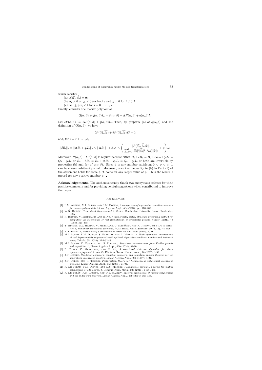which satisfies

- (a)  $q(\widehat{\alpha_0}, \beta_0) = 0;$
- (b)  $q_k \neq 0$  or  $q_0 \neq 0$  (or both) and  $q_i = 0$  for  $i \neq 0, k;$
- (c)  $|q_i| \leq \phi \omega_i < t$  for  $i = 0, 1, \ldots, k$ .

Finally, consider the matrix polynomial

$$
Q(\alpha, \beta) + q(\alpha, \beta)I_n = P(\alpha, \beta) + \Delta P(\alpha, \beta) + q(\alpha, \beta)I_n.
$$

Let  $\delta P(\alpha, \beta) := \Delta P(\alpha, \beta) + q(\alpha, \beta)I_n$ . Then, by property (a) of  $q(\alpha, \beta)$  and the definition of  $Q(\alpha, \beta)$ , we have

$$
(P(\widehat{\alpha_0}, \widehat{\beta_0}) + \delta P(\widehat{\alpha_0}, \widehat{\beta_0}))\widehat{x} = 0;
$$

and, for  $i = 0, 1, \ldots, k$ ,

$$
\|\delta B_i\|_2 = \|\Delta B_i + q_i I_n\|_2 \le \|\Delta B_i\|_2 + \phi \omega_i \le \left(\frac{\|P(\widehat{\alpha_0}, \widehat{\beta_0})\widehat{x}\|_2}{(\sum_{i=0}^k |\widehat{\alpha_0}|^i |\widehat{\beta_0}|^{k-i} \omega_i) \|\widehat{x}\|_2} + \phi\right) \omega_i.
$$

Moreover,  $P(\alpha, \beta) + \delta P(\alpha, \beta)$  is regular because either  $B_0 + \delta B_0 = B_0 + \Delta B_0 + q_0 I_n =$  $Q_0 + q_0I_n$  or  $B_k + \delta B_k = B_k + \Delta B_k + q_kI_n = Q_k + q_kI_n$  or both are invertible by properties (b) and (c) of  $q(\alpha, \beta)$ . Since  $\phi$  is any number satisfying  $0 < \phi < \mu$ , it can be chosen arbitrarily small. Moreover, once the inequality in (b) in Part (1) of the statement holds for some  $\phi$ , it holds for any larger value of  $\phi$ . Thus the result is proved for any positive number  $\phi$ .  $\Box$ 

Acknowledgements. The authors sincerely thank two anonymous referees for their positive comments and for providing helpful suggestions which contributed to improve the paper.

## REFERENCES

- [1] L.M. Anguas, M.I. Bueno, and F.M. Dopico, A comparison of eigenvalue condition numbers for matrix polynomials, Linear Algebra Appl., 564 (2018), pp. 170–200.
- [2] W.N. Bailey, Generalised Hypergeometric Series, Cambridge University Press, Cambridge, 1935.
- [3] P. BENNER, V. MEHRMANN, AND H. XU, A numerically stable, structure preserving method for computing the eigenvalues of real Hamiltonian or symplectic pencils, Numer. Math., 78 (1998), 329–358.
- [4] T. BETCKE, N.J. HIGHAM, V. MEHRMANN, C. SCHRÖDER, AND F. TISSEUR, NLEVP: A collection of nonlinear eigenvalue problems, ACM Trans. Math. Software, 39 (2013), 7:1-7:28.
- [5] R.A. BRUALDI, *Introductory Combinatorics*, Prentice Hall, New Jersey, 2010.
- [6] M.I. BUENO, F.M. DOPICO, S. FURTADO, AND L. MEDINA, A block-symmetric linearization of odd degree matrix polynomials with optimal eigenvalue condition number and backward error, Calcolo, 55 (2018), 32:1-32:43.
- [7] M.I. BUENO, K. CURLETT, AND S. FURTADO, Structured linearizations from Fiedler pencils with repetition I., Linear Algebra Appl., 460 (2014), 51-80.
- [8] R. Byers, V. Mehrmann, and H. Xu, A structured staircase algorithm for skewsymmetric/symmetric pencils, Electron. Trans. Numer. Anal., 26 (2007), 1-33.
- [9] J.P. DEDIEU, Condition operators, condition numbers, and condition number theorem for the generalized eigenvalue problem, Linear Algebra Appl., 263 (1997), 1-24.
- [10] J.P. DEDIEU AND F. TISSEUR, Perturbation theory for homogeneous polynomial eigenvalue problems, Linear Algebra Appl., 358 (2003), 71-94.
- [11] F. DE TERÁN, F.M. DOPICO, AND D.S. MACKEY, Palindromic companion forms for matrix polynomials of odd degree, J. Comput. Appl. Math., 236 (2011), 1464-1480.
- [12] F. DE TERÁN, F.M. DOPICO, AND D.S. MACKEY, Spectral equivalence of matrix polynomials and the index sum theorem, Linear Algebra Appl., 459 (2014), 264-333.